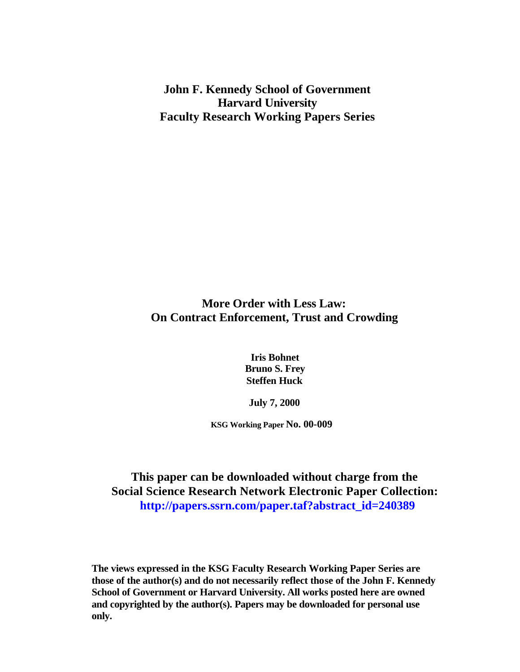**John F. Kennedy School of Government Harvard University Faculty Research Working Papers Series**

## **More Order with Less Law: On Contract Enforcement, Trust and Crowding**

**Iris Bohnet Bruno S. Frey Steffen Huck**

**July 7, 2000**

**KSG Working Paper No. 00-009**

**This paper can be downloaded without charge from the Social Science Research Network Electronic Paper Collection:  [http://papers.ssrn.com/paper.taf?abstract\\_id=240389](http://papers.ssrn.com/paper.taf?abstract_id=240389)**

**The views expressed in the KSG Faculty Research Working Paper Series are those of the author(s) and do not necessarily reflect those of the John F. Kennedy School of Government or Harvard University. All works posted here are owned and copyrighted by the author(s). Papers may be downloaded for personal use only.**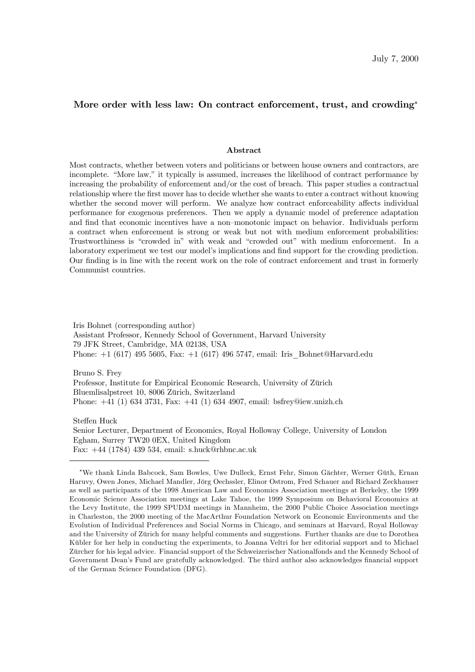### More order with less law: On contract enforcement, trust, and crowding<sup>\*</sup>

#### Abstract

Most contracts, whether between voters and politicians or between house owners and contractors, are incomplete. "More law," it typically is assumed, increases the likelihood of contract performance by increasing the probability of enforcement and/or the cost of breach. This paper studies a contractual relationship where the first mover has to decide whether she wants to enter a contract without knowing whether the second mover will perform. We analyze how contract enforceability affects individual performance for exogenous preferences. Then we apply a dynamic model of preference adaptation and find that economic incentives have a non–monotonic impact on behavior. Individuals perform a contract when enforcement is strong or weak but not with medium enforcement probabilities: Trustworthiness is "crowded in" with weak and "crowded out" with medium enforcement. In a laboratory experiment we test our model's implications and find support for the crowding prediction. Our finding is in line with the recent work on the role of contract enforcement and trust in formerly Communist countries.

Iris Bohnet (corresponding author) Assistant Professor, Kennedy School of Government, Harvard University 79 JFK Street, Cambridge, MA 02138, USA Phone: +1 (617) 495 5605, Fax: +1 (617) 496 5747, email: Iris\_Bohnet@Harvard.edu

Bruno S. Frey Professor, Institute for Empirical Economic Research, University of Zürich Bluemlisalpstreet 10, 8006 Zürich, Switzerland Phone: +41 (1) 634 3731, Fax: +41 (1) 634 4907, email: bsfrey@iew.unizh.ch

Steffen Huck Senior Lecturer, Department of Economics, Royal Holloway College, University of London Egham, Surrey TW20 0EX, United Kingdom Fax: +44 (1784) 439 534, email: s.huck@rhbnc.ac.uk

<sup>¤</sup>We thank Linda Babcock, Sam Bowles, Uwe Dulleck, Ernst Fehr, Simon Gächter, Werner Güth, Ernan Haruvy, Owen Jones, Michael Mandler, Jörg Oechssler, Elinor Ostrom, Fred Schauer and Richard Zeckhauser as well as participants of the 1998 American Law and Economics Association meetings at Berkeley, the 1999 Economic Science Association meetings at Lake Tahoe, the 1999 Symposium on Behavioral Economics at the Levy Institute, the 1999 SPUDM meetings in Mannheim, the 2000 Public Choice Association meetings in Charleston, the 2000 meeting of the MacArthur Foundation Network on Economic Environments and the Evolution of Individual Preferences and Social Norms in Chicago, and seminars at Harvard, Royal Holloway and the University of Zürich for many helpful comments and suggestions. Further thanks are due to Dorothea Kübler for her help in conducting the experiments, to Joanna Veltri for her editorial support and to Michael Zürcher for his legal advice. Financial support of the Schweizerischer Nationalfonds and the Kennedy School of Government Dean's Fund are gratefully acknowledged. The third author also acknowledges financial support of the German Science Foundation (DFG).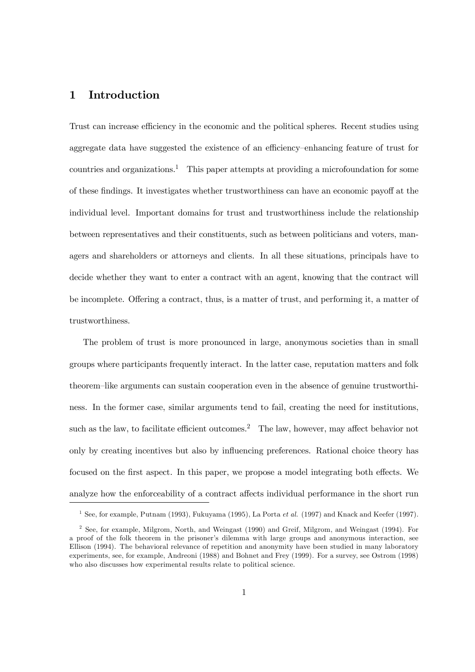## 1 Introduction

Trust can increase efficiency in the economic and the political spheres. Recent studies using aggregate data have suggested the existence of an efficiency–enhancing feature of trust for countries and organizations.<sup>1</sup> This paper attempts at providing a microfoundation for some of these findings. It investigates whether trustworthiness can have an economic payoff at the individual level. Important domains for trust and trustworthiness include the relationship between representatives and their constituents, such as between politicians and voters, managers and shareholders or attorneys and clients. In all these situations, principals have to decide whether they want to enter a contract with an agent, knowing that the contract will be incomplete. Offering a contract, thus, is a matter of trust, and performing it, a matter of trustworthiness.

The problem of trust is more pronounced in large, anonymous societies than in small groups where participants frequently interact. In the latter case, reputation matters and folk theorem–like arguments can sustain cooperation even in the absence of genuine trustworthiness. In the former case, similar arguments tend to fail, creating the need for institutions, such as the law, to facilitate efficient outcomes.<sup>2</sup> The law, however, may affect behavior not only by creating incentives but also by influencing preferences. Rational choice theory has focused on the first aspect. In this paper, we propose a model integrating both effects. We analyze how the enforceability of a contract affects individual performance in the short run

<sup>&</sup>lt;sup>1</sup> See, for example, Putnam (1993), Fukuyama (1995), La Porta et al. (1997) and Knack and Keefer (1997).

<sup>&</sup>lt;sup>2</sup> See, for example, Milgrom, North, and Weingast (1990) and Greif, Milgrom, and Weingast (1994). For a proof of the folk theorem in the prisoner's dilemma with large groups and anonymous interaction, see Ellison (1994). The behavioral relevance of repetition and anonymity have been studied in many laboratory experiments, see, for example, Andreoni (1988) and Bohnet and Frey (1999). For a survey, see Ostrom (1998) who also discusses how experimental results relate to political science.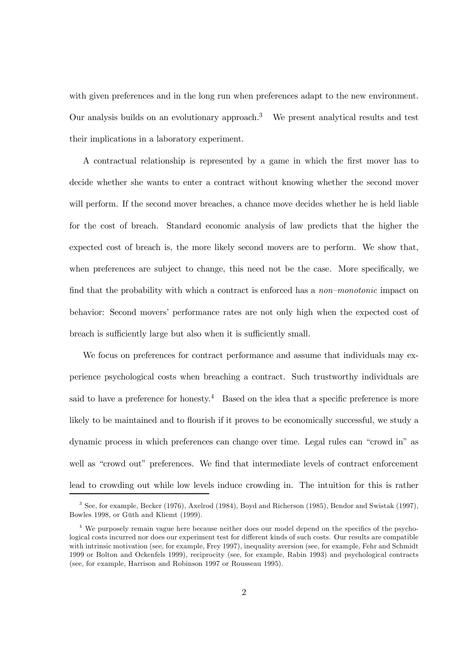with given preferences and in the long run when preferences adapt to the new environment. Our analysis builds on an evolutionary approach. <sup>3</sup> We present analytical results and test their implications in a laboratory experiment.

A contractual relationship is represented by a game in which the first mover has to decide whether she wants to enter a contract without knowing whether the second mover will perform. If the second mover breaches, a chance move decides whether he is held liable for the cost of breach. Standard economic analysis of law predicts that the higher the expected cost of breach is, the more likely second movers are to perform. We show that, when preferences are subject to change, this need not be the case. More specifically, we find that the probability with which a contract is enforced has a *non–monotonic* impact on behavior: Second movers' performance rates are not only high when the expected cost of breach is sufficiently large but also when it is sufficiently small.

We focus on preferences for contract performance and assume that individuals may experience psychological costs when breaching a contract. Such trustworthy individuals are said to have a preference for honesty.<sup>4</sup> Based on the idea that a specific preference is more likely to be maintained and to flourish if it proves to be economically successful, we study a dynamic process in which preferences can change over time. Legal rules can "crowd in" as well as "crowd out" preferences. We find that intermediate levels of contract enforcement lead to crowding out while low levels induce crowding in. The intuition for this is rather

<sup>3</sup> See, for example, Becker (1976), Axelrod (1984), Boyd and Richerson (1985), Bendor and Swistak (1997), Bowles 1998, or Güth and Kliemt (1999).

 $4$  We purposely remain vague here because neither does our model depend on the specifics of the psychological costs incurred nor does our experiment test for different kinds of such costs. Our results are compatible with intrinsic motivation (see, for example, Frey 1997), inequality aversion (see, for example, Fehr and Schmidt 1999 or Bolton and Ockenfels 1999), reciprocity (see, for example, Rabin 1993) and psychological contracts (see, for example, Harrison and Robinson 1997 or Rousseau 1995).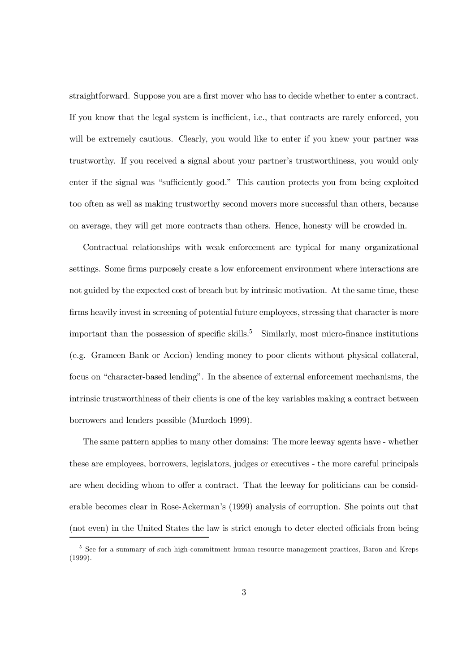straightforward. Suppose you are a first mover who has to decide whether to enter a contract. If you know that the legal system is inefficient, i.e., that contracts are rarely enforced, you will be extremely cautious. Clearly, you would like to enter if you knew your partner was trustworthy. If you received a signal about your partner's trustworthiness, you would only enter if the signal was "sufficiently good." This caution protects you from being exploited too often as well as making trustworthy second movers more successful than others, because on average, they will get more contracts than others. Hence, honesty will be crowded in.

Contractual relationships with weak enforcement are typical for many organizational settings. Some firms purposely create a low enforcement environment where interactions are not guided by the expected cost of breach but by intrinsic motivation. At the same time, these firms heavily invest in screening of potential future employees, stressing that character is more important than the possession of specific skills.<sup>5</sup> Similarly, most micro-finance institutions (e.g. Grameen Bank or Accion) lending money to poor clients without physical collateral, focus on "character-based lending". In the absence of external enforcement mechanisms, the intrinsic trustworthiness of their clients is one of the key variables making a contract between borrowers and lenders possible (Murdoch 1999).

The same pattern applies to many other domains: The more leeway agents have - whether these are employees, borrowers, legislators, judges or executives - the more careful principals are when deciding whom to offer a contract. That the leeway for politicians can be considerable becomes clear in Rose-Ackerman's (1999) analysis of corruption. She points out that (not even) in the United States the law is strict enough to deter elected officials from being

<sup>&</sup>lt;sup>5</sup> See for a summary of such high-commitment human resource management practices, Baron and Kreps (1999).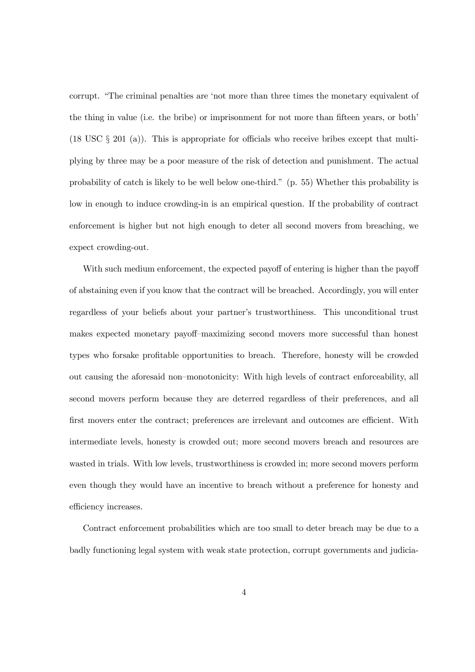corrupt. "The criminal penalties are 'not more than three times the monetary equivalent of the thing in value (i.e. the bribe) or imprisonment for not more than fifteen years, or both' (18 USC  $\S$  201 (a)). This is appropriate for officials who receive bribes except that multiplying by three may be a poor measure of the risk of detection and punishment. The actual probability of catch is likely to be well below one-third." (p. 55) Whether this probability is low in enough to induce crowding-in is an empirical question. If the probability of contract enforcement is higher but not high enough to deter all second movers from breaching, we expect crowding-out.

With such medium enforcement, the expected payoff of entering is higher than the payoff of abstaining even if you know that the contract will be breached. Accordingly, you will enter regardless of your beliefs about your partner's trustworthiness. This unconditional trust makes expected monetary payoff–maximizing second movers more successful than honest types who forsake profitable opportunities to breach. Therefore, honesty will be crowded out causing the aforesaid non–monotonicity: With high levels of contract enforceability, all second movers perform because they are deterred regardless of their preferences, and all first movers enter the contract; preferences are irrelevant and outcomes are efficient. With intermediate levels, honesty is crowded out; more second movers breach and resources are wasted in trials. With low levels, trustworthiness is crowded in; more second movers perform even though they would have an incentive to breach without a preference for honesty and efficiency increases.

Contract enforcement probabilities which are too small to deter breach may be due to a badly functioning legal system with weak state protection, corrupt governments and judicia-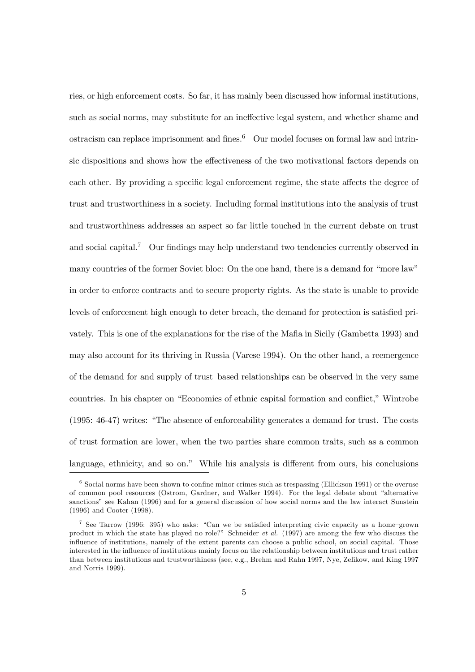ries, or high enforcement costs. So far, it has mainly been discussed how informal institutions, such as social norms, may substitute for an ineffective legal system, and whether shame and ostracism can replace imprisonment and fines.<sup>6</sup> Our model focuses on formal law and intrinsic dispositions and shows how the effectiveness of the two motivational factors depends on each other. By providing a specific legal enforcement regime, the state affects the degree of trust and trustworthiness in a society. Including formal institutions into the analysis of trust and trustworthiness addresses an aspect so far little touched in the current debate on trust and social capital.<sup>7</sup> Our findings may help understand two tendencies currently observed in many countries of the former Soviet bloc: On the one hand, there is a demand for "more law" in order to enforce contracts and to secure property rights. As the state is unable to provide levels of enforcement high enough to deter breach, the demand for protection is satisfied privately. This is one of the explanations for the rise of the Mafia in Sicily (Gambetta 1993) and may also account for its thriving in Russia (Varese 1994). On the other hand, a reemergence of the demand for and supply of trust–based relationships can be observed in the very same countries. In his chapter on "Economics of ethnic capital formation and conflict," Wintrobe (1995: 46-47) writes: "The absence of enforceability generates a demand for trust. The costs of trust formation are lower, when the two parties share common traits, such as a common language, ethnicity, and so on." While his analysis is different from ours, his conclusions

 $6\text{ Social norms}$  have been shown to confine minor crimes such as trespassing (Ellickson 1991) or the overuse of common pool resources (Ostrom, Gardner, and Walker 1994). For the legal debate about "alternative sanctions" see Kahan (1996) and for a general discussion of how social norms and the law interact Sunstein (1996) and Cooter (1998).

<sup>&</sup>lt;sup>7</sup> See Tarrow (1996: 395) who asks: "Can we be satisfied interpreting civic capacity as a home–grown product in which the state has played no role?" Schneider et al. (1997) are among the few who discuss the influence of institutions, namely of the extent parents can choose a public school, on social capital. Those interested in the influence of institutions mainly focus on the relationship between institutions and trust rather than between institutions and trustworthiness (see, e.g., Brehm and Rahn 1997, Nye, Zelikow, and King 1997 and Norris 1999).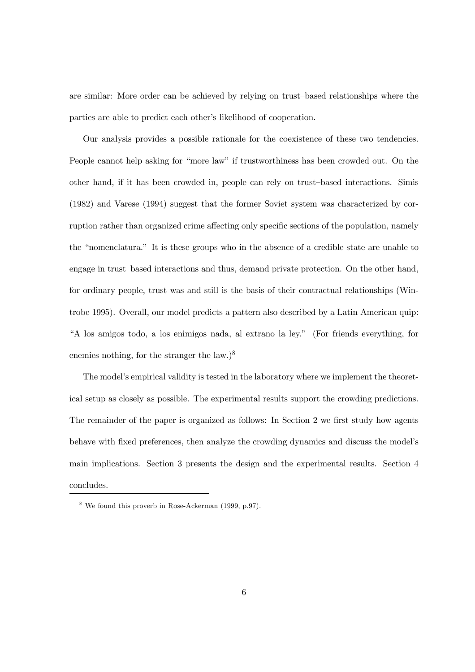are similar: More order can be achieved by relying on trust–based relationships where the parties are able to predict each other's likelihood of cooperation.

Our analysis provides a possible rationale for the coexistence of these two tendencies. People cannot help asking for "more law" if trustworthiness has been crowded out. On the other hand, if it has been crowded in, people can rely on trust–based interactions. Simis (1982) and Varese (1994) suggest that the former Soviet system was characterized by corruption rather than organized crime affecting only specific sections of the population, namely the "nomenclatura." It is these groups who in the absence of a credible state are unable to engage in trust–based interactions and thus, demand private protection. On the other hand, for ordinary people, trust was and still is the basis of their contractual relationships (Wintrobe 1995). Overall, our model predicts a pattern also described by a Latin American quip: "A los amigos todo, a los enimigos nada, al extrano la ley." (For friends everything, for enemies nothing, for the stranger the law.)<sup>8</sup>

The model's empirical validity is tested in the laboratory where we implement the theoretical setup as closely as possible. The experimental results support the crowding predictions. The remainder of the paper is organized as follows: In Section 2 we first study how agents behave with fixed preferences, then analyze the crowding dynamics and discuss the model's main implications. Section 3 presents the design and the experimental results. Section 4 concludes.

<sup>8</sup> We found this proverb in Rose-Ackerman (1999, p.97).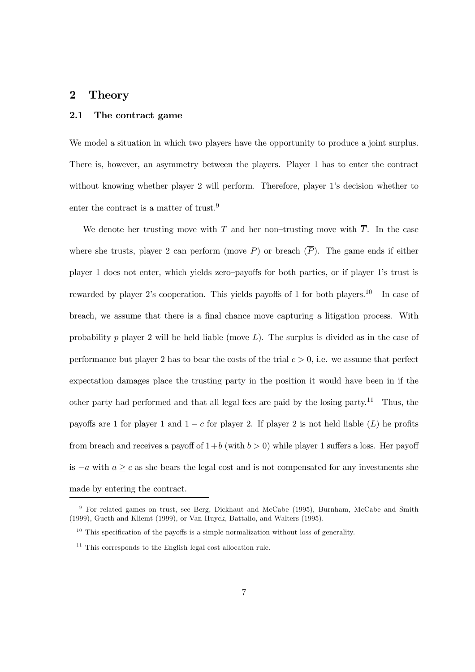## 2 Theory

#### 2.1 The contract game

We model a situation in which two players have the opportunity to produce a joint surplus. There is, however, an asymmetry between the players. Player 1 has to enter the contract without knowing whether player 2 will perform. Therefore, player 1's decision whether to enter the contract is a matter of trust.<sup>9</sup>

We denote her trusting move with T and her non–trusting move with  $\overline{T}$ . In the case where she trusts, player 2 can perform (move P) or breach  $(\overline{P})$ . The game ends if either player 1 does not enter, which yields zero–payoffs for both parties, or if player 1's trust is rewarded by player 2's cooperation. This yields payoffs of 1 for both players.<sup>10</sup> In case of breach, we assume that there is a final chance move capturing a litigation process. With probability p player 2 will be held liable (move  $L$ ). The surplus is divided as in the case of performance but player 2 has to bear the costs of the trial  $c > 0$ , i.e. we assume that perfect expectation damages place the trusting party in the position it would have been in if the other party had performed and that all legal fees are paid by the losing party.<sup>11</sup> Thus, the payoffs are 1 for player 1 and  $1 - c$  for player 2. If player 2 is not held liable  $(\overline{L})$  he profits from breach and receives a payoff of  $1+b$  (with  $b > 0$ ) while player 1 suffers a loss. Her payoff is  $-a$  with  $a \geq c$  as she bears the legal cost and is not compensated for any investments she made by entering the contract.

<sup>&</sup>lt;sup>9</sup> For related games on trust, see Berg, Dickhaut and McCabe (1995), Burnham, McCabe and Smith (1999), Gueth and Kliemt (1999), or Van Huyck, Battalio, and Walters (1995).

 $10$  This specification of the payoffs is a simple normalization without loss of generality.

<sup>&</sup>lt;sup>11</sup> This corresponds to the English legal cost allocation rule.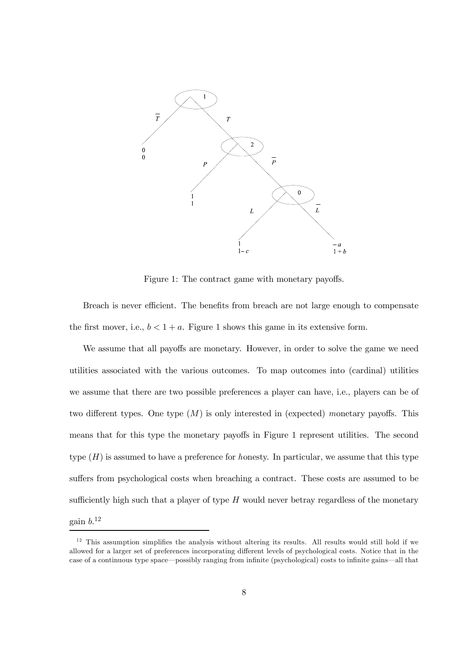

Figure 1: The contract game with monetary payoffs.

Breach is never efficient. The benefits from breach are not large enough to compensate the first mover, i.e.,  $b < 1 + a$ . Figure 1 shows this game in its extensive form.

We assume that all payoffs are monetary. However, in order to solve the game we need utilities associated with the various outcomes. To map outcomes into (cardinal) utilities we assume that there are two possible preferences a player can have, i.e., players can be of two different types. One type  $(M)$  is only interested in (expected) monetary payoffs. This means that for this type the monetary payoffs in Figure 1 represent utilities. The second type  $(H)$  is assumed to have a preference for honesty. In particular, we assume that this type suffers from psychological costs when breaching a contract. These costs are assumed to be sufficiently high such that a player of type  $H$  would never betray regardless of the monetary  $g$ ain  $b.$ <sup>12</sup>

 $12$  This assumption simplifies the analysis without altering its results. All results would still hold if we allowed for a larger set of preferences incorporating different levels of psychological costs. Notice that in the case of a continuous type space—possibly ranging from infinite (psychological) costs to infinite gains—all that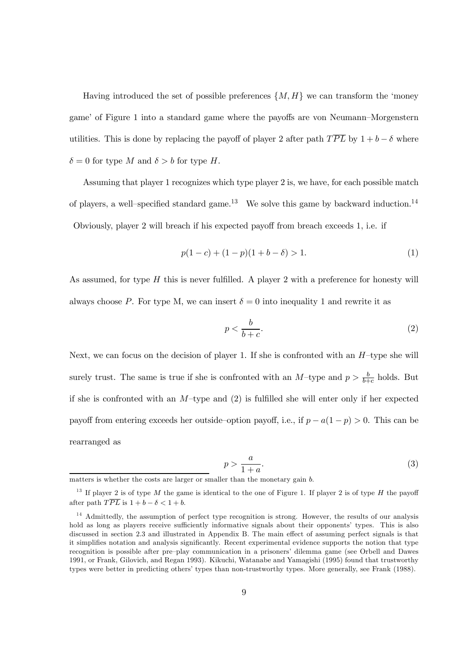Having introduced the set of possible preferences  $\{M, H\}$  we can transform the 'money game' of Figure 1 into a standard game where the payoffs are von Neumann–Morgenstern utilities. This is done by replacing the payoff of player 2 after path  $T\overline{PL}$  by  $1 + b - \delta$  where  $\delta = 0$  for type M and  $\delta > b$  for type H.

Assuming that player 1 recognizes which type player 2 is, we have, for each possible match of players, a well-specified standard game.<sup>13</sup> We solve this game by backward induction.<sup>14</sup> Obviously, player 2 will breach if his expected payoff from breach exceeds  $1$ , i.e. if

$$
p(1-c) + (1-p)(1+b-\delta) > 1.
$$
 (1)

As assumed, for type  $H$  this is never fulfilled. A player 2 with a preference for honesty will always choose P. For type M, we can insert  $\delta = 0$  into inequality 1 and rewrite it as

$$
p < \frac{b}{b+c}.\tag{2}
$$

Next, we can focus on the decision of player 1. If she is confronted with an  $H$ -type she will surely trust. The same is true if she is confronted with an  $M$ -type and  $p > \frac{b}{h+1}$  $\frac{b}{b+c}$  holds. But if she is confronted with an  $M$ –type and (2) is fulfilled she will enter only if her expected payoff from entering exceeds her outside–option payoff, i.e., if  $p - a(1 - p) > 0$ . This can be rearranged as

$$
p > \frac{a}{1+a}.\tag{3}
$$

matters is whether the costs are larger or smaller than the monetary gain b.

<sup>&</sup>lt;sup>13</sup> If player 2 is of type M the game is identical to the one of Figure 1. If player 2 is of type H the payoff after path  $T\overline{PL}$  is  $1 + b - \delta < 1 + b$ .

<sup>&</sup>lt;sup>14</sup> Admittedly, the assumption of perfect type recognition is strong. However, the results of our analysis hold as long as players receive sufficiently informative signals about their opponents' types. This is also discussed in section 2.3 and illustrated in Appendix B. The main effect of assuming perfect signals is that it simplifies notation and analysis significantly. Recent experimental evidence supports the notion that type recognition is possible after pre–play communication in a prisoners' dilemma game (see Orbell and Dawes 1991, or Frank, Gilovich, and Regan 1993). Kikuchi, Watanabe and Yamagishi (1995) found that trustworthy types were better in predicting others' types than non-trustworthy types. More generally, see Frank (1988).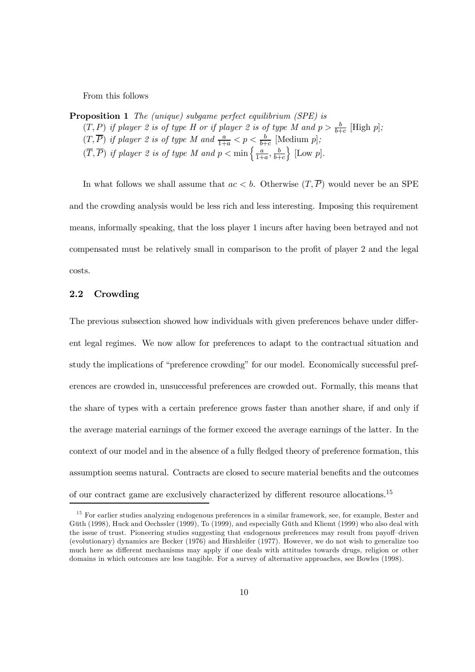From this follows

Proposition 1 The (unique) subgame perfect equilibrium (SPE) is  $(T, P)$  if player 2 is of type H or if player 2 is of type M and  $p > \frac{b}{b+1}$  $rac{b}{b+c}$  [High p];  $(T,\overline{P})$  if player 2 is of type M and  $\frac{a}{1+a} < p < \frac{b}{b+1}$  $rac{b}{b+c}$  [Medium p];  $(\overline{T}, \overline{P})$  if player 2 is of type M and  $p < \min\left\{\frac{a}{1+r}\right\}$  $\frac{a}{1+a}$ ,  $\frac{b}{b+a}$  $_{b+c}$  $\}$  [Low  $p$ ].

In what follows we shall assume that  $ac < b$ . Otherwise  $(T, \overline{P})$  would never be an SPE and the crowding analysis would be less rich and less interesting. Imposing this requirement means, informally speaking, that the loss player 1 incurs after having been betrayed and not compensated must be relatively small in comparison to the profit of player 2 and the legal costs.

#### 2.2 Crowding

The previous subsection showed how individuals with given preferences behave under different legal regimes. We now allow for preferences to adapt to the contractual situation and study the implications of "preference crowding" for our model. Economically successful preferences are crowded in, unsuccessful preferences are crowded out. Formally, this means that the share of types with a certain preference grows faster than another share, if and only if the average material earnings of the former exceed the average earnings of the latter. In the context of our model and in the absence of a fully fledged theory of preference formation, this assumption seems natural. Contracts are closed to secure material benefits and the outcomes of our contract game are exclusively characterized by different resource allocations.<sup>15</sup>

<sup>&</sup>lt;sup>15</sup> For earlier studies analyzing endogenous preferences in a similar framework, see, for example, Bester and Güth (1998), Huck and Oechssler (1999), To (1999), and especially Güth and Kliemt (1999) who also deal with the issue of trust. Pioneering studies suggesting that endogenous preferences may result from payoff-driven (evolutionary) dynamics are Becker (1976) and Hirshleifer (1977). However, we do not wish to generalize too much here as different mechanisms may apply if one deals with attitudes towards drugs, religion or other domains in which outcomes are less tangible. For a survey of alternative approaches, see Bowles (1998).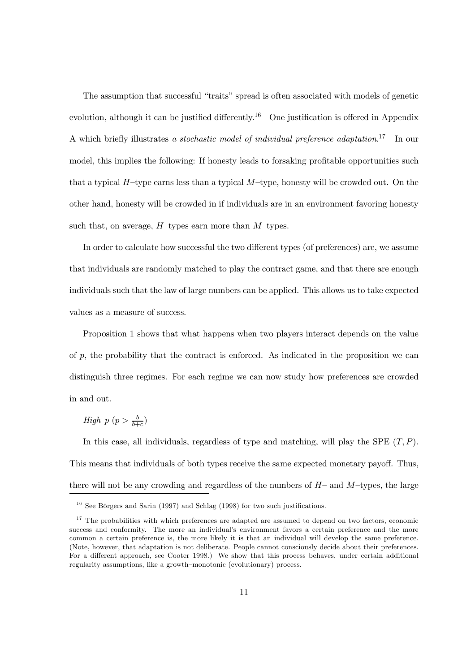The assumption that successful "traits" spread is often associated with models of genetic evolution, although it can be justified differently.<sup>16</sup> One justification is offered in Appendix A which briefly illustrates a stochastic model of individual preference adaptation.<sup>17</sup> In our model, this implies the following: If honesty leads to forsaking profitable opportunities such that a typical  $H$ –type earns less than a typical  $M$ –type, honesty will be crowded out. On the other hand, honesty will be crowded in if individuals are in an environment favoring honesty such that, on average,  $H$ -types earn more than  $M$ -types.

In order to calculate how successful the two different types (of preferences) are, we assume that individuals are randomly matched to play the contract game, and that there are enough individuals such that the law of large numbers can be applied. This allows us to take expected values as a measure of success.

Proposition 1 shows that what happens when two players interact depends on the value of  $p$ , the probability that the contract is enforced. As indicated in the proposition we can distinguish three regimes. For each regime we can now study how preferences are crowded in and out.

High p ( $p > \frac{b}{b+}$  $\frac{b}{b+c}$ 

In this case, all individuals, regardless of type and matching, will play the SPE  $(T, P)$ . This means that individuals of both types receive the same expected monetary payoff. Thus, there will not be any crowding and regardless of the numbers of  $H$ – and  $M$ –types, the large

 $16$  See Börgers and Sarin (1997) and Schlag (1998) for two such justifications.

 $17$  The probabilities with which preferences are adapted are assumed to depend on two factors, economic success and conformity. The more an individual's environment favors a certain preference and the more common a certain preference is, the more likely it is that an individual will develop the same preference. (Note, however, that adaptation is not deliberate. People cannot consciously decide about their preferences. For a different approach, see Cooter 1998.) We show that this process behaves, under certain additional regularity assumptions, like a growth–monotonic (evolutionary) process.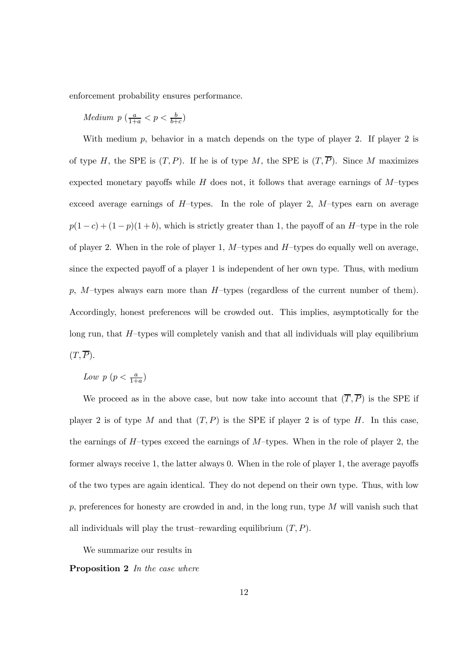enforcement probability ensures performance.

 $Median\ p\ (\frac{a}{1+a} < p < \frac{b}{b+1})$  $rac{b}{b+c}$ 

With medium  $p$ , behavior in a match depends on the type of player 2. If player 2 is of type H, the SPE is  $(T, P)$ . If he is of type M, the SPE is  $(T, \overline{P})$ . Since M maximizes expected monetary payoffs while  $H$  does not, it follows that average earnings of  $M$ -types exceed average earnings of  $H$ -types. In the role of player 2,  $M$ -types earn on average  $p(1 - c) + (1 - p)(1 + b)$ , which is strictly greater than 1, the payoff of an H-type in the role of player 2. When in the role of player 1,  $M$ –types and  $H$ –types do equally well on average, since the expected payoff of a player 1 is independent of her own type. Thus, with medium  $p, M$ -types always earn more than  $H$ -types (regardless of the current number of them). Accordingly, honest preferences will be crowded out. This implies, asymptotically for the long run, that  $H$ –types will completely vanish and that all individuals will play equilibrium  $(T,\overline{P}).$ 

Low  $p\left(p < \frac{a}{1+a}\right)$ 

We proceed as in the above case, but now take into account that  $(\overline{T},\overline{P})$  is the SPE if player 2 is of type M and that  $(T, P)$  is the SPE if player 2 is of type H. In this case, the earnings of  $H$ –types exceed the earnings of  $M$ –types. When in the role of player 2, the former always receive 1, the latter always  $0$ . When in the role of player 1, the average payoffs of the two types are again identical. They do not depend on their own type. Thus, with low  $p$ , preferences for honesty are crowded in and, in the long run, type  $M$  will vanish such that all individuals will play the trust–rewarding equilibrium  $(T, P)$ .

We summarize our results in

Proposition 2 In the case where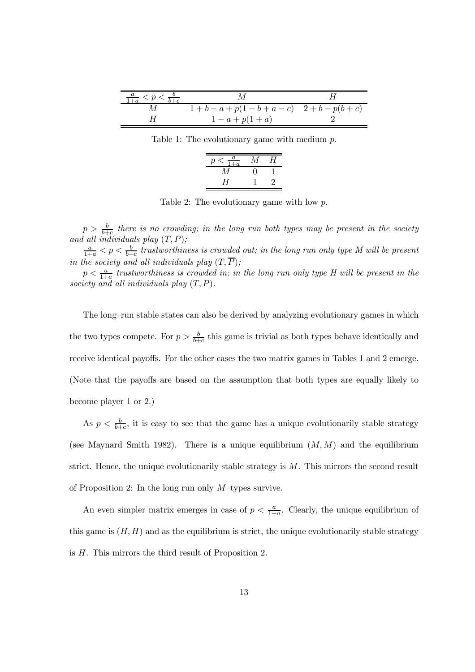| $\frac{a}{1+a} < p < \frac{b}{b+c}$ |                                 |  |
|-------------------------------------|---------------------------------|--|
|                                     | $1+b-a+p(1-b+a-c)$ $2+b-p(b+c)$ |  |
|                                     | $1-a+p(1+a)$                    |  |

Table 1: The evolutionary game with medium  $p$ .

| $\frac{a}{\overline{a}}$<br>р | И | Ч  |
|-------------------------------|---|----|
|                               |   |    |
| H                             |   | '' |

Table 2: The evolutionary game with low p.

 $p > \frac{b}{b+1}$  $\frac{b}{b+c}$  there is no crowding; in the long run both types may be present in the society and all individuals play  $(T, P)$ ;

 $\frac{a}{1+a}$  <  $p$  <  $\frac{b}{b+}$  $\frac{b}{b+c}$  trustworthiness is crowded out; in the long run only type M will be present in the society and all individuals play  $(T,\overline P);$ 

 $p < \frac{a}{1+}$  $\frac{a}{1+a}$  trustworthiness is crowded in; in the long run only type H will be present in the society and all individuals play  $(T, P)$ .

The long–run stable states can also be derived by analyzing evolutionary games in which the two types compete. For  $p > \frac{b}{b+1}$  $\frac{b}{b+c}$  this game is trivial as both types behave identically and receive identical payoffs. For the other cases the two matrix games in Tables 1 and 2 emerge. (Note that the payoffs are based on the assumption that both types are equally likely to become player 1 or 2.)

As  $p < \frac{b}{b+1}$  $\frac{b}{b+c}$ , it is easy to see that the game has a unique evolutionarily stable strategy (see Maynard Smith 1982). There is a unique equilibrium  $(M, M)$  and the equilibrium strict. Hence, the unique evolutionarily stable strategy is M. This mirrors the second result of Proposition 2: In the long run only  $M$ -types survive.

An even simpler matrix emerges in case of  $p < \frac{a}{1+a}$  $\frac{a}{1+a}$ . Clearly, the unique equilibrium of this game is  $(H, H)$  and as the equilibrium is strict, the unique evolutionarily stable strategy is H. This mirrors the third result of Proposition 2.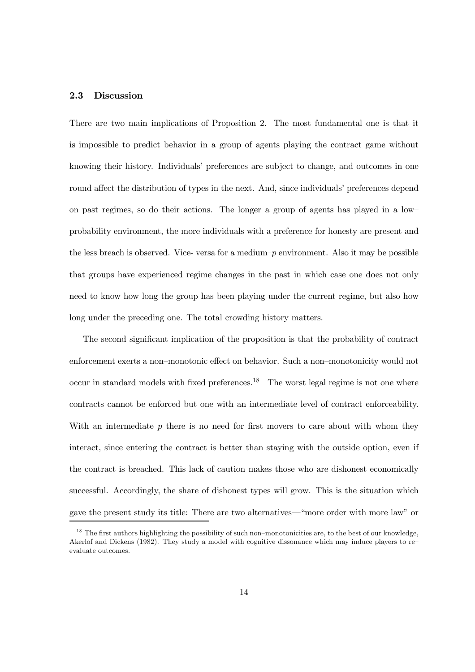#### 2.3 Discussion

There are two main implications of Proposition 2. The most fundamental one is that it is impossible to predict behavior in a group of agents playing the contract game without knowing their history. Individuals' preferences are subject to change, and outcomes in one round affect the distribution of types in the next. And, since individuals' preferences depend on past regimes, so do their actions. The longer a group of agents has played in a low– probability environment, the more individuals with a preference for honesty are present and the less breach is observed. Vice- versa for a medium–p environment. Also it may be possible that groups have experienced regime changes in the past in which case one does not only need to know how long the group has been playing under the current regime, but also how long under the preceding one. The total crowding history matters.

The second significant implication of the proposition is that the probability of contract enforcement exerts a non–monotonic effect on behavior. Such a non–monotonicity would not occur in standard models with fixed preferences.<sup>18</sup> The worst legal regime is not one where contracts cannot be enforced but one with an intermediate level of contract enforceability. With an intermediate  $p$  there is no need for first movers to care about with whom they interact, since entering the contract is better than staying with the outside option, even if the contract is breached. This lack of caution makes those who are dishonest economically successful. Accordingly, the share of dishonest types will grow. This is the situation which gave the present study its title: There are two alternatives—"more order with more law" or

 $18$  The first authors highlighting the possibility of such non–monotonicities are, to the best of our knowledge, Akerlof and Dickens (1982). They study a model with cognitive dissonance which may induce players to re– evaluate outcomes.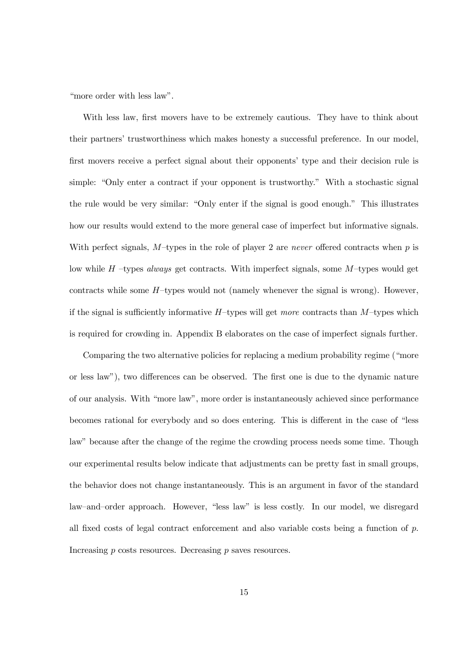"more order with less law".

With less law, first movers have to be extremely cautious. They have to think about their partners' trustworthiness which makes honesty a successful preference. In our model, first movers receive a perfect signal about their opponents' type and their decision rule is simple: "Only enter a contract if your opponent is trustworthy." With a stochastic signal the rule would be very similar: "Only enter if the signal is good enough." This illustrates how our results would extend to the more general case of imperfect but informative signals. With perfect signals,  $M$ -types in the role of player 2 are *never* offered contracts when  $p$  is low while  $H$  –types *always* get contracts. With imperfect signals, some  $M$ –types would get contracts while some  $H$ -types would not (namely whenever the signal is wrong). However, if the signal is sufficiently informative  $H$ –types will get more contracts than  $M$ –types which is required for crowding in. Appendix B elaborates on the case of imperfect signals further.

Comparing the two alternative policies for replacing a medium probability regime ("more or less law"), two differences can be observed. The first one is due to the dynamic nature of our analysis. With "more law", more order is instantaneously achieved since performance becomes rational for everybody and so does entering. This is different in the case of "less law" because after the change of the regime the crowding process needs some time. Though our experimental results below indicate that adjustments can be pretty fast in small groups, the behavior does not change instantaneously. This is an argument in favor of the standard law–and–order approach. However, "less law" is less costly. In our model, we disregard all fixed costs of legal contract enforcement and also variable costs being a function of  $p$ . Increasing  $p$  costs resources. Decreasing  $p$  saves resources.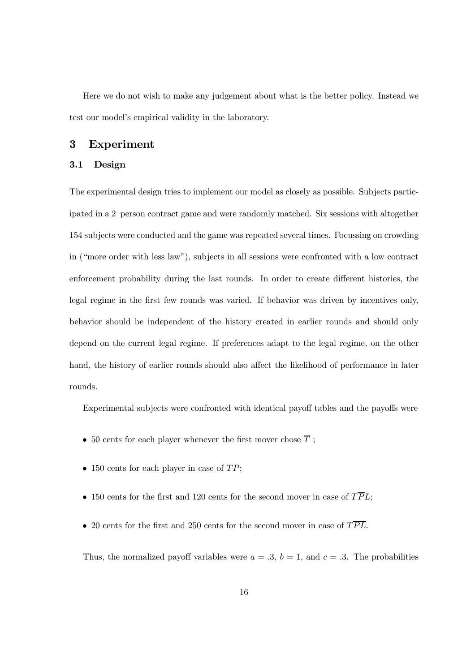Here we do not wish to make any judgement about what is the better policy. Instead we test our model's empirical validity in the laboratory.

### 3 Experiment

#### 3.1 Design

The experimental design tries to implement our model as closely as possible. Subjects participated in a 2–person contract game and were randomly matched. Six sessions with altogether 154 subjects were conducted and the game was repeated several times. Focussing on crowding in ("more order with less law"), subjects in all sessions were confronted with a low contract enforcement probability during the last rounds. In order to create different histories, the legal regime in the first few rounds was varied. If behavior was driven by incentives only, behavior should be independent of the history created in earlier rounds and should only depend on the current legal regime. If preferences adapt to the legal regime, on the other hand, the history of earlier rounds should also affect the likelihood of performance in later rounds.

Experimental subjects were confronted with identical payoff tables and the payoffs were

- $\bullet \,$  50 cents for each player whenever the first mover chose  $\overline{T}$  ;
- $\bullet$  150 cents for each player in case of  $TP$ ;
- 150 cents for the first and 120 cents for the second mover in case of  $T\overline{P}L$ ;
- 20 cents for the first and 250 cents for the second mover in case of  $T\overline{PL}$ .

Thus, the normalized payoff variables were  $a = .3$ ,  $b = 1$ , and  $c = .3$ . The probabilities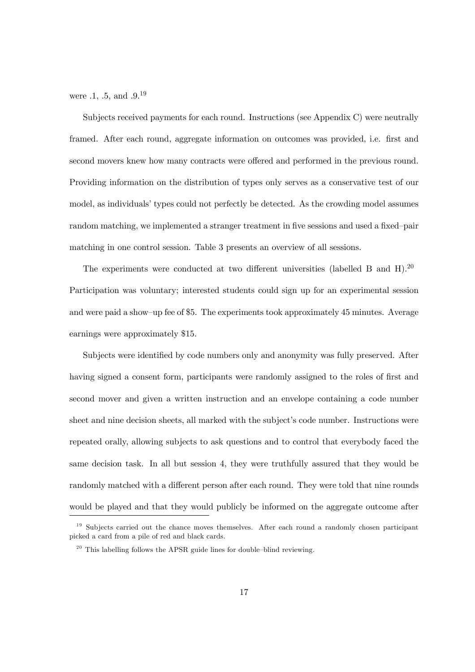were  $.1, .5, \text{ and } .9.19$ 

Subjects received payments for each round. Instructions (see Appendix C) were neutrally framed. After each round, aggregate information on outcomes was provided, i.e. first and second movers knew how many contracts were offered and performed in the previous round. Providing information on the distribution of types only serves as a conservative test of our model, as individuals' types could not perfectly be detected. As the crowding model assumes random matching, we implemented a stranger treatment in five sessions and used a fixed–pair matching in one control session. Table 3 presents an overview of all sessions.

The experiments were conducted at two different universities (labelled B and H).<sup>20</sup> Participation was voluntary; interested students could sign up for an experimental session and were paid a show–up fee of \$5. The experiments took approximately 45 minutes. Average earnings were approximately \$15.

Subjects were identified by code numbers only and anonymity was fully preserved. After having signed a consent form, participants were randomly assigned to the roles of first and second mover and given a written instruction and an envelope containing a code number sheet and nine decision sheets, all marked with the subject's code number. Instructions were repeated orally, allowing subjects to ask questions and to control that everybody faced the same decision task. In all but session 4, they were truthfully assured that they would be randomly matched with a different person after each round. They were told that nine rounds would be played and that they would publicly be informed on the aggregate outcome after

<sup>&</sup>lt;sup>19</sup> Subjects carried out the chance moves themselves. After each round a randomly chosen participant picked a card from a pile of red and black cards.

 $20$  This labelling follows the APSR guide lines for double–blind reviewing.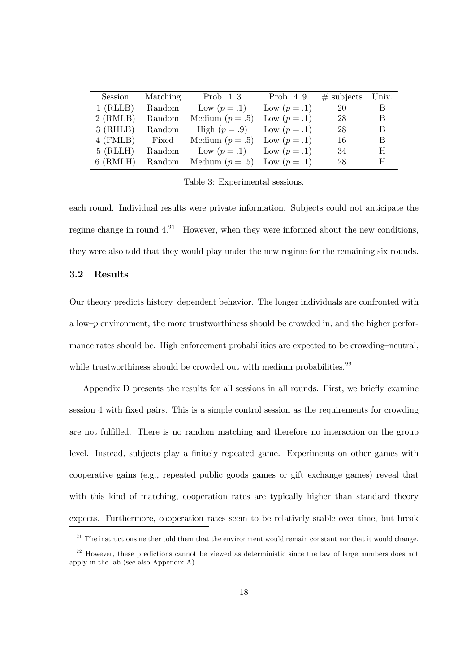| Session    | Matching | Prob. $1-3$                        | Prob. $4-9$  | $\#$ subjects Univ. |    |
|------------|----------|------------------------------------|--------------|---------------------|----|
| $1$ (RLLB) | Random   | Low $(p=.1)$ Low $(p=.1)$          |              | 20                  | B. |
| $2$ (RMLB) | Random   | Medium $(p=.5)$                    | Low $(p=.1)$ | 28                  | B  |
| $3$ (RHLB) | Random   | High $(p=.9)$ Low $(p=.1)$         |              | 28                  | B  |
| $4$ (FMLB) |          | Fixed Medium $(p=.5)$ Low $(p=.1)$ |              | 16                  | B  |
| $5$ (RLLH) | Random   | Low $(p=.1)$ Low $(p=.1)$          |              | 34                  | H  |
| $6$ (RMLH) | Random   | Medium $(p=.5)$ Low $(p=.1)$       |              | 28                  | H  |

Table 3: Experimental sessions.

each round. Individual results were private information. Subjects could not anticipate the regime change in round  $4^{21}$  However, when they were informed about the new conditions, they were also told that they would play under the new regime for the remaining six rounds.

### 3.2 Results

Our theory predicts history–dependent behavior. The longer individuals are confronted with a low– $p$  environment, the more trustworthiness should be crowded in, and the higher performance rates should be. High enforcement probabilities are expected to be crowding–neutral, while trustworthiness should be crowded out with medium probabilities.<sup>22</sup>

Appendix D presents the results for all sessions in all rounds. First, we briefly examine session 4 with fixed pairs. This is a simple control session as the requirements for crowding are not fulfilled. There is no random matching and therefore no interaction on the group level. Instead, subjects play a finitely repeated game. Experiments on other games with cooperative gains (e.g., repeated public goods games or gift exchange games) reveal that with this kind of matching, cooperation rates are typically higher than standard theory expects. Furthermore, cooperation rates seem to be relatively stable over time, but break

 $21$  The instructions neither told them that the environment would remain constant nor that it would change.

 $22$  However, these predictions cannot be viewed as deterministic since the law of large numbers does not apply in the lab (see also Appendix A).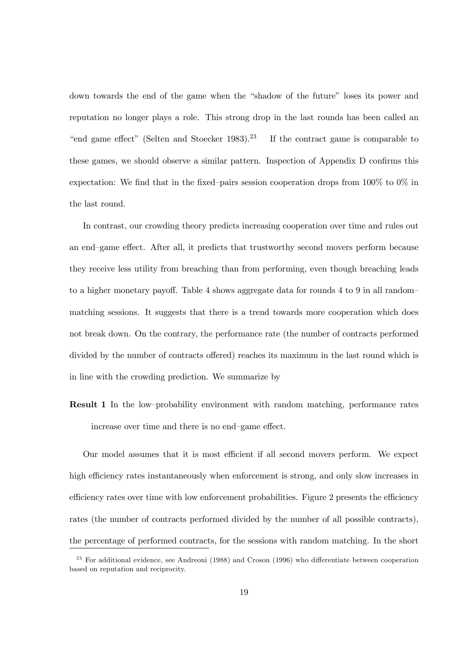down towards the end of the game when the "shadow of the future" loses its power and reputation no longer plays a role. This strong drop in the last rounds has been called an "end game effect" (Selten and Stoecker 1983).<sup>23</sup> If the contract game is comparable to these games, we should observe a similar pattern. Inspection of Appendix D confirms this expectation: We find that in the fixed–pairs session cooperation drops from  $100\%$  to  $0\%$  in the last round.

In contrast, our crowding theory predicts increasing cooperation over time and rules out an end–game effect. After all, it predicts that trustworthy second movers perform because they receive less utility from breaching than from performing, even though breaching leads to a higher monetary payoff. Table 4 shows aggregate data for rounds  $4 \text{ to } 9$  in all randommatching sessions. It suggests that there is a trend towards more cooperation which does not break down. On the contrary, the performance rate (the number of contracts performed divided by the number of contracts offered) reaches its maximum in the last round which is in line with the crowding prediction. We summarize by

Result 1 In the low–probability environment with random matching, performance rates increase over time and there is no end–game effect.

Our model assumes that it is most efficient if all second movers perform. We expect high efficiency rates instantaneously when enforcement is strong, and only slow increases in efficiency rates over time with low enforcement probabilities. Figure 2 presents the efficiency rates (the number of contracts performed divided by the number of all possible contracts), the percentage of performed contracts, for the sessions with random matching. In the short

 $23$  For additional evidence, see Andreoni (1988) and Croson (1996) who differentiate between cooperation based on reputation and reciprocity.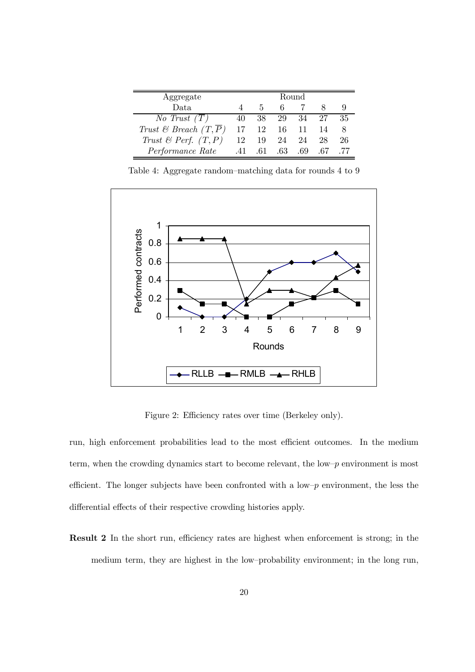| Aggregate                         | Round |         |          |       |     |    |
|-----------------------------------|-------|---------|----------|-------|-----|----|
| Data                              |       | h.      | 6.       |       |     |    |
| No Trust $(T)$                    | 40    | 38 -    | 29 34    |       |     | 35 |
| Trust & Breach $(T,\overline{P})$ | 17    |         | 12 16 11 |       | 14  |    |
| Trust & Perf. $(T, P)$            | 12    | -19     |          | 24 24 | 28  | 26 |
| <i>Performance Rate</i>           |       | .41 .61 | $.63\,$  | -69   | -67 |    |

 $\blacksquare$ 

Table 4: Aggregate random–matching data for rounds 4 to 9



Figure 2: Efficiency rates over time (Berkeley only).

run, high enforcement probabilities lead to the most efficient outcomes. In the medium term, when the crowding dynamics start to become relevant, the low– $p$  environment is most efficient. The longer subjects have been confronted with a low– $p$  environment, the less the differential effects of their respective crowding histories apply.

**Result 2** In the short run, efficiency rates are highest when enforcement is strong; in the medium term, they are highest in the low–probability environment; in the long run,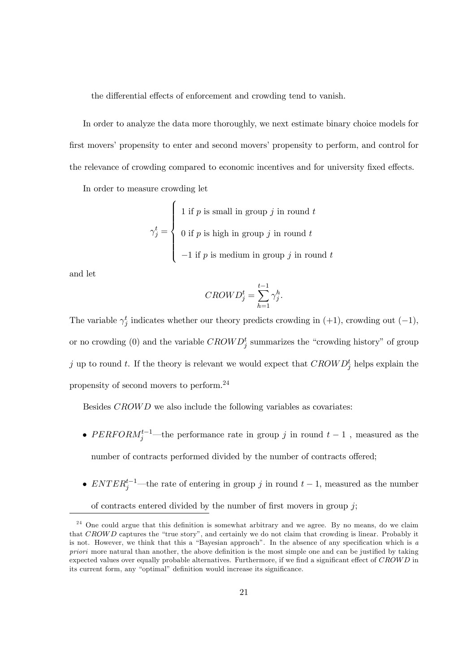the differential effects of enforcement and crowding tend to vanish.

In order to analyze the data more thoroughly, we next estimate binary choice models for first movers' propensity to enter and second movers' propensity to perform, and control for the relevance of crowding compared to economic incentives and for university fixed effects.

In order to measure crowding let

$$
\gamma_j^t = \begin{cases} 1 \text{ if } p \text{ is small in group } j \text{ in round } t \\ 0 \text{ if } p \text{ is high in group } j \text{ in round } t \\ -1 \text{ if } p \text{ is medium in group } j \text{ in round } t \end{cases}
$$

and let

$$
CROW D_j^t = \sum_{h=1}^{t-1} \gamma_j^h.
$$

The variable  $\gamma_j^t$  indicates whether our theory predicts crowding in (+1), crowding out (-1), or no crowding (0) and the variable  $CROWD_j^t$  summarizes the "crowding history" of group j up to round t. If the theory is relevant we would expect that  $CROWD_j^t$  helps explain the propensity of second movers to perform. 24

Besides CROWD we also include the following variables as covariates:

- PERFORM<sup>t-1</sup>—the performance rate in group j in round  $t-1$ , measured as the number of contracts performed divided by the number of contracts offered;
- $ENTER_j^{t-1}$ —the rate of entering in group j in round  $t-1$ , measured as the number

of contracts entered divided by the number of first movers in group  $j$ ;

 $24$  One could argue that this definition is somewhat arbitrary and we agree. By no means, do we claim that CROWD captures the "true story", and certainly we do not claim that crowding is linear. Probably it is not. However, we think that this a "Bayesian approach". In the absence of any specification which is  $a$ priori more natural than another, the above definition is the most simple one and can be justified by taking expected values over equally probable alternatives. Furthermore, if we find a significant effect of  $CROWD$  in its current form, any "optimal" definition would increase its significance.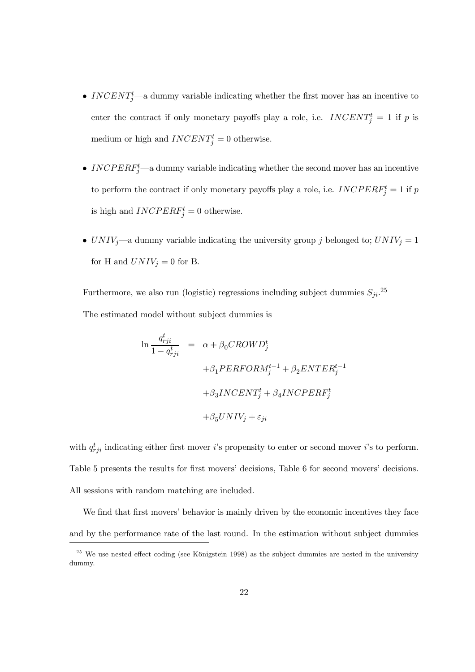- INCENT<sup>t</sup><sub>j</sub>—a dummy variable indicating whether the first mover has an incentive to enter the contract if only monetary payoffs play a role, i.e.  $INCENT_j^t = 1$  if p is medium or high and  $INCENT_j^t = 0$  otherwise.
- INCPER $F_j^t$ —a dummy variable indicating whether the second mover has an incentive to perform the contract if only monetary payoffs play a role, i.e.  $INCPERF_j^t = 1$  if  $p$ is high and  $INCPERF_j^t = 0$  otherwise.
- $UNIV_j$ —a dummy variable indicating the university group j belonged to;  $UNIV_j = 1$ for H and  $UNIV<sub>j</sub> = 0$  for B.

Furthermore, we also run (logistic) regressions including subject dummies  $S_{ji}$ <sup>25</sup> The estimated model without subject dummies is

$$
\begin{array}{rcl} \ln \frac{q_{rji}^t}{1-q_{rji}^t} &=& \alpha + \beta_0 CROW D_j^t \\ &&& \\ + \beta_1 PERFORM_j^{t-1} + \beta_2 ENTER_j^{t-1} \\ &&& \\ + \beta_3 INCENT_j^t + \beta_4 INCPERF_j^t \\ &&& \\ + \beta_5 UNIV_j + \varepsilon_{ji} \end{array}
$$

with  $q_{rji}^t$  indicating either first mover *i*'s propensity to enter or second mover *i*'s to perform. Table 5 presents the results for first movers' decisions, Table 6 for second movers' decisions. All sessions with random matching are included.

We find that first movers' behavior is mainly driven by the economic incentives they face and by the performance rate of the last round. In the estimation without subject dummies

 $25$  We use nested effect coding (see Königstein 1998) as the subject dummies are nested in the university dummy.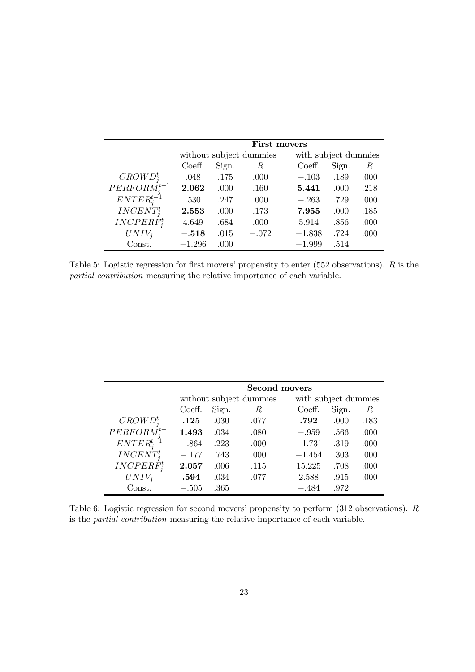|                   |          | First movers |                         |          |                      |      |  |  |  |
|-------------------|----------|--------------|-------------------------|----------|----------------------|------|--|--|--|
|                   |          |              | without subject dummies |          | with subject dummies |      |  |  |  |
|                   | Coeff.   | Sign.        | $_{R}$                  | Coeff.   | Sign.                | R    |  |  |  |
| $CROWD_i^t$       | .048     | .175         | .000                    | $-.103$  | .189                 | .000 |  |  |  |
| $PERFORM_i^{t-1}$ | 2.062    | .000         | .160                    | 5.441    | .000                 | .218 |  |  |  |
| $ENTER_i^{t-1}$   | .530     | .247         | .000                    | $-.263$  | .729                 | .000 |  |  |  |
| $INCENT_i^t$      | 2.553    | .000         | .173                    | 7.955    | .000                 | .185 |  |  |  |
| $INCPERF_i^t$     | 4.649    | .684         | .000                    | 5.914    | .856                 | .000 |  |  |  |
| $UNIV_i$          | $-.518$  | .015         | $-.072$                 | $-1.838$ | .724                 | .000 |  |  |  |
| Const.            | $-1.296$ | .000         |                         | $-1.999$ | .514                 |      |  |  |  |

Table 5: Logistic regression for first movers' propensity to enter (552 observations).  $R$  is the partial contribution measuring the relative importance of each variable.

|                   |         |       | <b>Second movers</b>    |                      |       |      |
|-------------------|---------|-------|-------------------------|----------------------|-------|------|
|                   |         |       | without subject dummies | with subject dummies |       |      |
|                   | Coeff.  | Sign. | $\,R$                   | Coeff.               | Sign. | R    |
| $CROWD_i^t$       | .125    | .030  | .077                    | .792                 | .000  | .183 |
| $PERFORM_i^{t-1}$ | 1.493   | .034  | .080                    | $-.959$              | .566  | .000 |
| $ENTER_i^{t-1}$   | $-.864$ | .223  | .000                    | $-1.731$             | .319  | .000 |
| $INCENT_i^t$      | $-.177$ | .743  | .000                    | $-1.454$             | .303  | .000 |
| $INCPERF_i^t$     | 2.057   | .006  | .115                    | 15.225               | .708  | .000 |
| $UNIV_i$          | .594    | .034  | .077                    | 2.588                | .915  | .000 |
| Const.            | $-.505$ | .365  |                         | $-.484$              | .972  |      |

Table 6: Logistic regression for second movers' propensity to perform (312 observations). R is the partial contribution measuring the relative importance of each variable.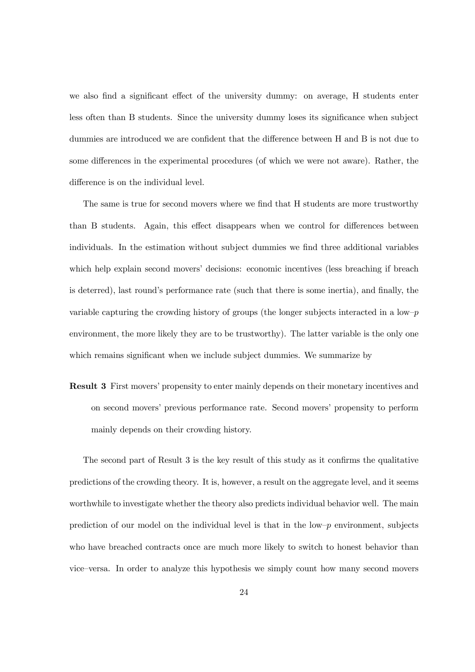we also find a significant effect of the university dummy: on average, H students enter less often than B students. Since the university dummy loses its significance when subject dummies are introduced we are confident that the difference between H and B is not due to some differences in the experimental procedures (of which we were not aware). Rather, the difference is on the individual level.

The same is true for second movers where we find that H students are more trustworthy than B students. Again, this effect disappears when we control for differences between individuals. In the estimation without subject dummies we find three additional variables which help explain second movers' decisions: economic incentives (less breaching if breach is deterred), last round's performance rate (such that there is some inertia), and finally, the variable capturing the crowding history of groups (the longer subjects interacted in a low– $p$ ) environment, the more likely they are to be trustworthy). The latter variable is the only one which remains significant when we include subject dummies. We summarize by

Result 3 First movers' propensity to enter mainly depends on their monetary incentives and on second movers' previous performance rate. Second movers' propensity to perform mainly depends on their crowding history.

The second part of Result  $3$  is the key result of this study as it confirms the qualitative predictions of the crowding theory. It is, however, a result on the aggregate level, and it seems worthwhile to investigate whether the theory also predicts individual behavior well. The main prediction of our model on the individual level is that in the low– $p$  environment, subjects who have breached contracts once are much more likely to switch to honest behavior than vice–versa. In order to analyze this hypothesis we simply count how many second movers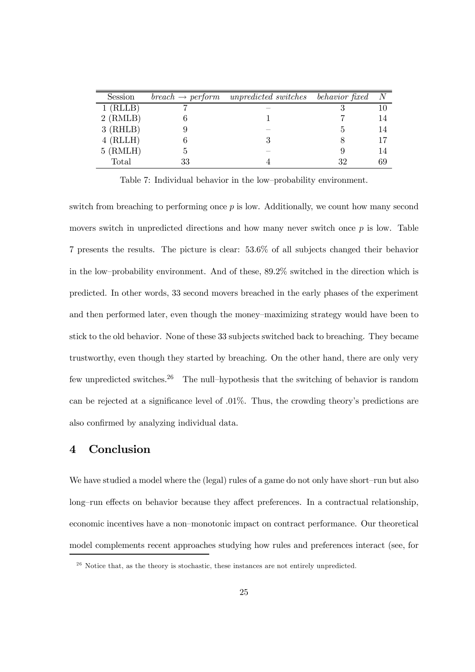| Session    |    | $break \rightarrow perform \quad unpredicted \ switches \quad behavior \ fixed$ |    | $\,N$ |
|------------|----|---------------------------------------------------------------------------------|----|-------|
| $1$ (RLLB) |    |                                                                                 |    | 10    |
| $2$ (RMLB) |    |                                                                                 |    | 14    |
| $3$ (RHLB) |    |                                                                                 |    | 14    |
| $4$ (RLLH) |    |                                                                                 |    | 17    |
| $5$ (RMLH) | Ð  |                                                                                 |    | 14    |
| Total      | 33 |                                                                                 | 32 | 69    |

Table 7: Individual behavior in the low–probability environment.

switch from breaching to performing once p is low. Additionally, we count how many second movers switch in unpredicted directions and how many never switch once  $p$  is low. Table 7 presents the results. The picture is clear: 53.6% of all subjects changed their behavior in the low–probability environment. And of these, 89.2% switched in the direction which is predicted. In other words, 33 second movers breached in the early phases of the experiment and then performed later, even though the money–maximizing strategy would have been to stick to the old behavior. None of these 33 subjects switched back to breaching. They became trustworthy, even though they started by breaching. On the other hand, there are only very few unpredicted switches.<sup>26</sup> The null–hypothesis that the switching of behavior is random can be rejected at a significance level of  $.01\%$ . Thus, the crowding theory's predictions are also confirmed by analyzing individual data.

## 4 Conclusion

We have studied a model where the (legal) rules of a game do not only have short–run but also long–run effects on behavior because they affect preferences. In a contractual relationship, economic incentives have a non–monotonic impact on contract performance. Our theoretical model complements recent approaches studying how rules and preferences interact (see, for

 $26$  Notice that, as the theory is stochastic, these instances are not entirely unpredicted.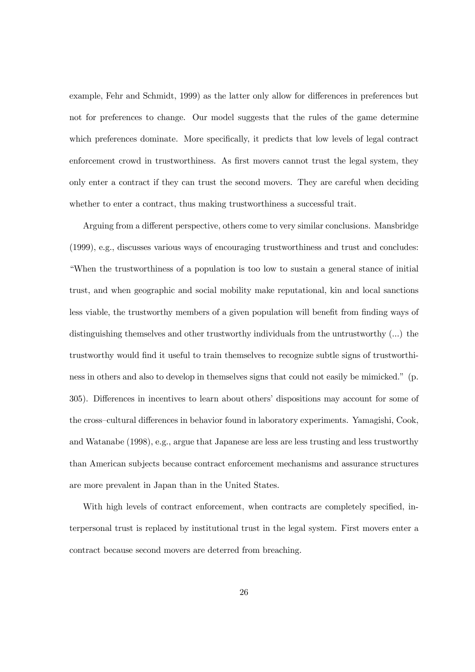example, Fehr and Schmidt, 1999) as the latter only allow for differences in preferences but not for preferences to change. Our model suggests that the rules of the game determine which preferences dominate. More specifically, it predicts that low levels of legal contract enforcement crowd in trustworthiness. As first movers cannot trust the legal system, they only enter a contract if they can trust the second movers. They are careful when deciding whether to enter a contract, thus making trustworthiness a successful trait.

Arguing from a different perspective, others come to very similar conclusions. Mansbridge (1999), e.g., discusses various ways of encouraging trustworthiness and trust and concludes: "When the trustworthiness of a population is too low to sustain a general stance of initial trust, and when geographic and social mobility make reputational, kin and local sanctions less viable, the trustworthy members of a given population will benefit from finding ways of distinguishing themselves and other trustworthy individuals from the untrustworthy (...) the trustworthy would find it useful to train themselves to recognize subtle signs of trustworthiness in others and also to develop in themselves signs that could not easily be mimicked." (p. 305). Differences in incentives to learn about others' dispositions may account for some of the cross–cultural differences in behavior found in laboratory experiments. Yamagishi, Cook, and Watanabe (1998), e.g., argue that Japanese are less are less trusting and less trustworthy than American subjects because contract enforcement mechanisms and assurance structures are more prevalent in Japan than in the United States.

With high levels of contract enforcement, when contracts are completely specified, interpersonal trust is replaced by institutional trust in the legal system. First movers enter a contract because second movers are deterred from breaching.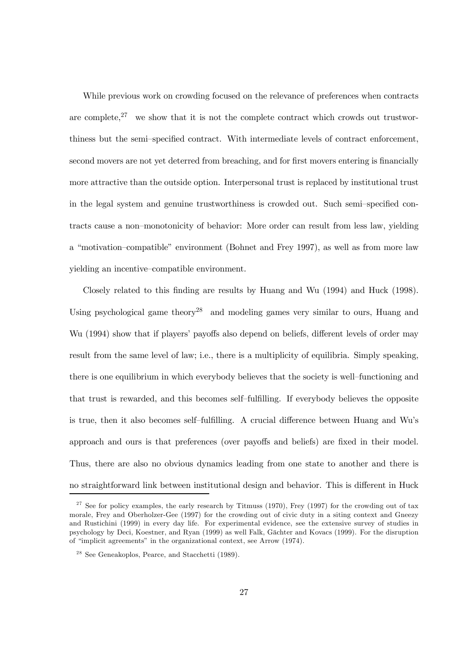While previous work on crowding focused on the relevance of preferences when contracts are complete, $27$  we show that it is not the complete contract which crowds out trustworthiness but the semi–specified contract. With intermediate levels of contract enforcement, second movers are not yet deterred from breaching, and for first movers entering is financially more attractive than the outside option. Interpersonal trust is replaced by institutional trust in the legal system and genuine trustworthiness is crowded out. Such semi–specified contracts cause a non–monotonicity of behavior: More order can result from less law, yielding a "motivation–compatible" environment (Bohnet and Frey 1997), as well as from more law yielding an incentive–compatible environment.

Closely related to this finding are results by Huang and Wu  $(1994)$  and Huck  $(1998)$ . Using psychological game theory<sup>28</sup> and modeling games very similar to ours, Huang and Wu (1994) show that if players' payoffs also depend on beliefs, different levels of order may result from the same level of law; i.e., there is a multiplicity of equilibria. Simply speaking, there is one equilibrium in which everybody believes that the society is well–functioning and that trust is rewarded, and this becomes self-fulfilling. If everybody believes the opposite is true, then it also becomes self–fulfilling. A crucial difference between Huang and Wu's approach and ours is that preferences (over payoffs and beliefs) are fixed in their model. Thus, there are also no obvious dynamics leading from one state to another and there is no straightforward link between institutional design and behavior. This is different in Huck

 $27$  See for policy examples, the early research by Titmuss (1970), Frey (1997) for the crowding out of tax morale, Frey and Oberholzer-Gee (1997) for the crowding out of civic duty in a siting context and Gneezy and Rustichini (1999) in every day life. For experimental evidence, see the extensive survey of studies in psychology by Deci, Koestner, and Ryan (1999) as well Falk, Gächter and Kovacs (1999). For the disruption of "implicit agreements" in the organizational context, see Arrow (1974).

<sup>&</sup>lt;sup>28</sup> See Geneakoplos, Pearce, and Stacchetti (1989).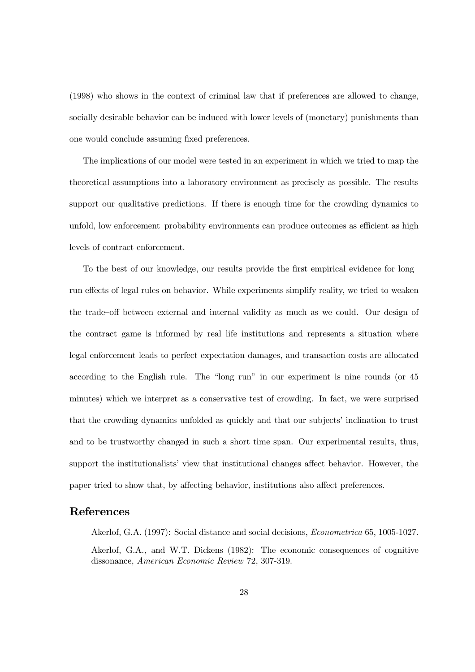(1998) who shows in the context of criminal law that if preferences are allowed to change, socially desirable behavior can be induced with lower levels of (monetary) punishments than one would conclude assuming fixed preferences.

The implications of our model were tested in an experiment in which we tried to map the theoretical assumptions into a laboratory environment as precisely as possible. The results support our qualitative predictions. If there is enough time for the crowding dynamics to unfold, low enforcement–probability environments can produce outcomes as efficient as high levels of contract enforcement.

To the best of our knowledge, our results provide the first empirical evidence for long– run effects of legal rules on behavior. While experiments simplify reality, we tried to weaken the trade–off between external and internal validity as much as we could. Our design of the contract game is informed by real life institutions and represents a situation where legal enforcement leads to perfect expectation damages, and transaction costs are allocated according to the English rule. The "long run" in our experiment is nine rounds (or 45 minutes) which we interpret as a conservative test of crowding. In fact, we were surprised that the crowding dynamics unfolded as quickly and that our subjects' inclination to trust and to be trustworthy changed in such a short time span. Our experimental results, thus, support the institutionalists' view that institutional changes affect behavior. However, the paper tried to show that, by affecting behavior, institutions also affect preferences.

### References

Akerlof, G.A. (1997): Social distance and social decisions, Econometrica 65, 1005-1027. Akerlof, G.A., and W.T. Dickens (1982): The economic consequences of cognitive dissonance, American Economic Review 72, 307-319.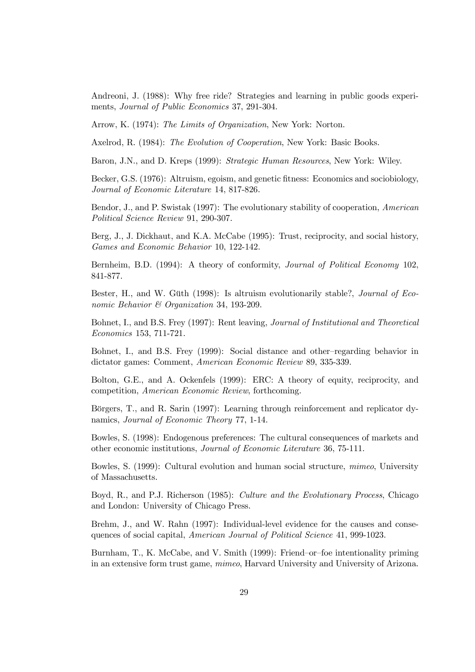Andreoni, J. (1988): Why free ride? Strategies and learning in public goods experiments, Journal of Public Economics 37, 291-304.

Arrow, K. (1974): The Limits of Organization, New York: Norton.

Axelrod, R. (1984): The Evolution of Cooperation, New York: Basic Books.

Baron, J.N., and D. Kreps (1999): Strategic Human Resources, New York: Wiley.

Becker, G.S. (1976): Altruism, egoism, and genetic fitness: Economics and sociobiology, Journal of Economic Literature 14, 817-826.

Bendor, J., and P. Swistak (1997): The evolutionary stability of cooperation, American Political Science Review 91, 290-307.

Berg, J., J. Dickhaut, and K.A. McCabe (1995): Trust, reciprocity, and social history, Games and Economic Behavior 10, 122-142.

Bernheim, B.D. (1994): A theory of conformity, Journal of Political Economy 102, 841-877.

Bester, H., and W. Güth (1998): Is altruism evolutionarily stable?, *Journal of Eco*nomic Behavior & Organization 34, 193-209.

Bohnet, I., and B.S. Frey (1997): Rent leaving, Journal of Institutional and Theoretical Economics 153, 711-721.

Bohnet, I., and B.S. Frey (1999): Social distance and other–regarding behavior in dictator games: Comment, American Economic Review 89, 335-339.

Bolton, G.E., and A. Ockenfels (1999): ERC: A theory of equity, reciprocity, and competition, American Economic Review, forthcoming.

Börgers, T., and R. Sarin (1997): Learning through reinforcement and replicator dynamics, Journal of Economic Theory 77, 1-14.

Bowles, S. (1998): Endogenous preferences: The cultural consequences of markets and other economic institutions, Journal of Economic Literature 36, 75-111.

Bowles, S. (1999): Cultural evolution and human social structure, mimeo, University of Massachusetts.

Boyd, R., and P.J. Richerson (1985): Culture and the Evolutionary Process, Chicago and London: University of Chicago Press.

Brehm, J., and W. Rahn (1997): Individual-level evidence for the causes and consequences of social capital, American Journal of Political Science 41, 999-1023.

Burnham, T., K. McCabe, and V. Smith (1999): Friend–or–foe intentionality priming in an extensive form trust game, mimeo, Harvard University and University of Arizona.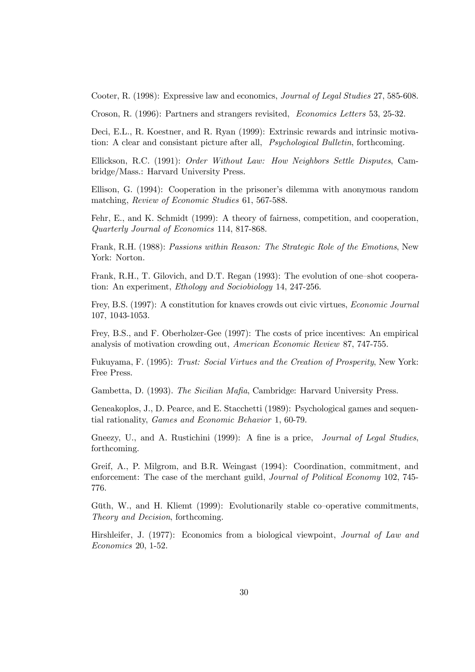Cooter, R. (1998): Expressive law and economics, Journal of Legal Studies 27, 585-608.

Croson, R. (1996): Partners and strangers revisited, Economics Letters 53, 25-32.

Deci, E.L., R. Koestner, and R. Ryan (1999): Extrinsic rewards and intrinsic motivation: A clear and consistant picture after all, Psychological Bulletin, forthcoming.

Ellickson, R.C. (1991): Order Without Law: How Neighbors Settle Disputes, Cambridge/Mass.: Harvard University Press.

Ellison, G. (1994): Cooperation in the prisoner's dilemma with anonymous random matching, Review of Economic Studies 61, 567-588.

Fehr, E., and K. Schmidt (1999): A theory of fairness, competition, and cooperation, Quarterly Journal of Economics 114, 817-868.

Frank, R.H. (1988): Passions within Reason: The Strategic Role of the Emotions, New York: Norton.

Frank, R.H., T. Gilovich, and D.T. Regan (1993): The evolution of one–shot cooperation: An experiment, Ethology and Sociobiology 14, 247-256.

Frey, B.S. (1997): A constitution for knaves crowds out civic virtues, Economic Journal 107, 1043-1053.

Frey, B.S., and F. Oberholzer-Gee (1997): The costs of price incentives: An empirical analysis of motivation crowding out, American Economic Review 87, 747-755.

Fukuyama, F. (1995): Trust: Social Virtues and the Creation of Prosperity, New York: Free Press.

Gambetta, D. (1993). The Sicilian Mafia, Cambridge: Harvard University Press.

Geneakoplos, J., D. Pearce, and E. Stacchetti (1989): Psychological games and sequential rationality, Games and Economic Behavior 1, 60-79.

Gneezy, U., and A. Rustichini (1999): A fine is a price, Journal of Legal Studies, forthcoming.

Greif, A., P. Milgrom, and B.R. Weingast (1994): Coordination, commitment, and enforcement: The case of the merchant guild, Journal of Political Economy 102, 745- 776.

Güth, W., and H. Kliemt (1999): Evolutionarily stable co–operative commitments, Theory and Decision, forthcoming.

Hirshleifer, J. (1977): Economics from a biological viewpoint, Journal of Law and Economics 20, 1-52.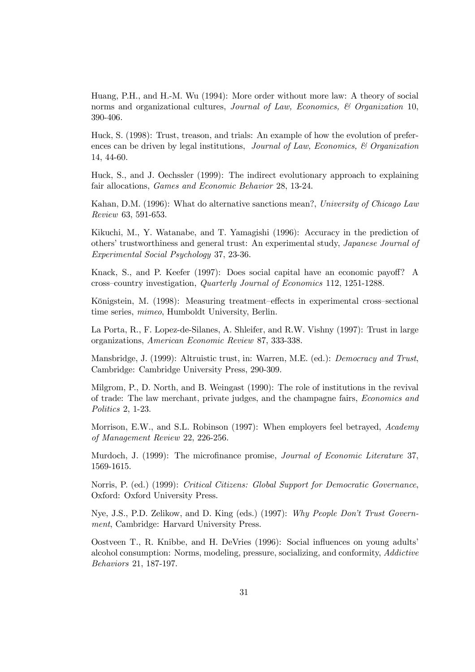Huang, P.H., and H.-M. Wu (1994): More order without more law: A theory of social norms and organizational cultures, Journal of Law, Economics,  $\mathcal C$  Organization 10, 390-406.

Huck, S. (1998): Trust, treason, and trials: An example of how the evolution of preferences can be driven by legal institutions, Journal of Law, Economics,  $\mathcal B$  Organization 14, 44-60.

Huck, S., and J. Oechssler (1999): The indirect evolutionary approach to explaining fair allocations, Games and Economic Behavior 28, 13-24.

Kahan, D.M. (1996): What do alternative sanctions mean?, University of Chicago Law Review 63, 591-653.

Kikuchi, M., Y. Watanabe, and T. Yamagishi (1996): Accuracy in the prediction of others' trustworthiness and general trust: An experimental study, Japanese Journal of Experimental Social Psychology 37, 23-36.

Knack, S., and P. Keefer (1997): Does social capital have an economic payoff? A cross–country investigation, Quarterly Journal of Economics 112, 1251-1288.

Königstein, M. (1998): Measuring treatment–effects in experimental cross–sectional time series, mimeo, Humboldt University, Berlin.

La Porta, R., F. Lopez-de-Silanes, A. Shleifer, and R.W. Vishny (1997): Trust in large organizations, American Economic Review 87, 333-338.

Mansbridge, J. (1999): Altruistic trust, in: Warren, M.E. (ed.): Democracy and Trust, Cambridge: Cambridge University Press, 290-309.

Milgrom, P., D. North, and B. Weingast (1990): The role of institutions in the revival of trade: The law merchant, private judges, and the champagne fairs, Economics and Politics 2, 1-23.

Morrison, E.W., and S.L. Robinson (1997): When employers feel betrayed, Academy of Management Review 22, 226-256.

Murdoch, J. (1999): The microfinance promise, *Journal of Economic Literature* 37, 1569-1615.

Norris, P. (ed.) (1999): Critical Citizens: Global Support for Democratic Governance, Oxford: Oxford University Press.

Nye, J.S., P.D. Zelikow, and D. King (eds.) (1997): Why People Don't Trust Government, Cambridge: Harvard University Press.

Oostveen T., R. Knibbe, and H. DeVries (1996): Social influences on young adults' alcohol consumption: Norms, modeling, pressure, socializing, and conformity, Addictive Behaviors 21, 187-197.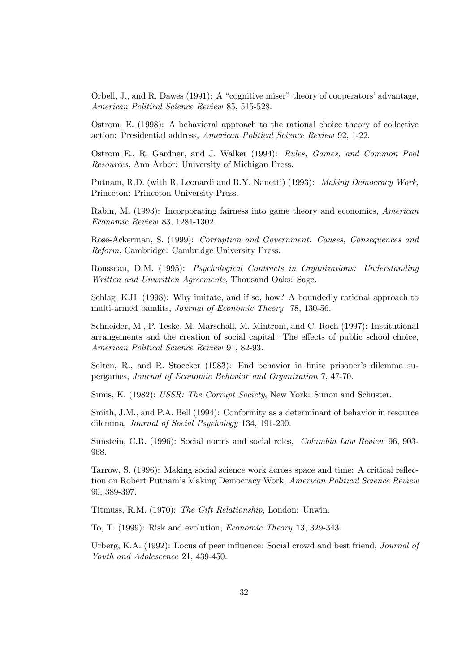Orbell, J., and R. Dawes (1991): A "cognitive miser" theory of cooperators' advantage, American Political Science Review 85, 515-528.

Ostrom, E. (1998): A behavioral approach to the rational choice theory of collective action: Presidential address, American Political Science Review 92, 1-22.

Ostrom E., R. Gardner, and J. Walker (1994): Rules, Games, and Common–Pool Resources, Ann Arbor: University of Michigan Press.

Putnam, R.D. (with R. Leonardi and R.Y. Nanetti) (1993): Making Democracy Work, Princeton: Princeton University Press.

Rabin, M. (1993): Incorporating fairness into game theory and economics, American Economic Review 83, 1281-1302.

Rose-Ackerman, S. (1999): Corruption and Government: Causes, Consequences and Reform, Cambridge: Cambridge University Press.

Rousseau, D.M. (1995): Psychological Contracts in Organizations: Understanding Written and Unwritten Agreements, Thousand Oaks: Sage.

Schlag, K.H. (1998): Why imitate, and if so, how? A boundedly rational approach to multi-armed bandits, Journal of Economic Theory 78, 130-56.

Schneider, M., P. Teske, M. Marschall, M. Mintrom, and C. Roch (1997): Institutional arrangements and the creation of social capital: The effects of public school choice, American Political Science Review 91, 82-93.

Selten, R., and R. Stoecker (1983): End behavior in finite prisoner's dilemma supergames, Journal of Economic Behavior and Organization 7, 47-70.

Simis, K. (1982): USSR: The Corrupt Society, New York: Simon and Schuster.

Smith, J.M., and P.A. Bell (1994): Conformity as a determinant of behavior in resource dilemma, Journal of Social Psychology 134, 191-200.

Sunstein, C.R. (1996): Social norms and social roles, Columbia Law Review 96, 903- 968.

Tarrow, S. (1996): Making social science work across space and time: A critical reflection on Robert Putnam's Making Democracy Work, American Political Science Review 90, 389-397.

Titmuss, R.M. (1970): The Gift Relationship, London: Unwin.

To, T. (1999): Risk and evolution, Economic Theory 13, 329-343.

Urberg, K.A. (1992): Locus of peer influence: Social crowd and best friend, *Journal of* Youth and Adolescence 21, 439-450.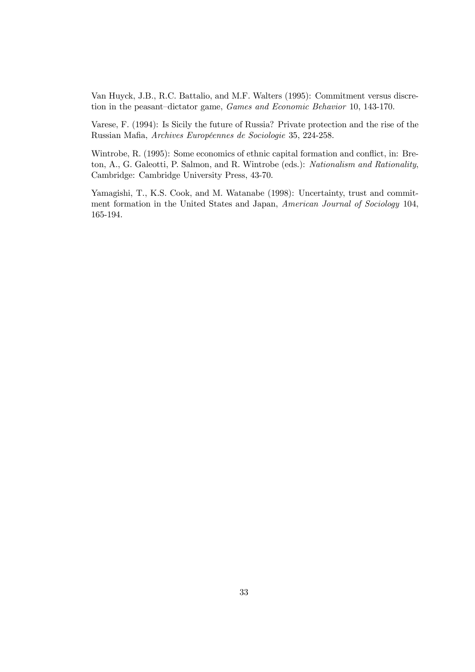Van Huyck, J.B., R.C. Battalio, and M.F. Walters (1995): Commitment versus discretion in the peasant–dictator game, Games and Economic Behavior 10, 143-170.

Varese, F. (1994): Is Sicily the future of Russia? Private protection and the rise of the Russian Mafia, Archives Européennes de Sociologie 35, 224-258.

Wintrobe, R. (1995): Some economics of ethnic capital formation and conflict, in: Breton, A., G. Galeotti, P. Salmon, and R. Wintrobe (eds.): Nationalism and Rationality, Cambridge: Cambridge University Press, 43-70.

Yamagishi, T., K.S. Cook, and M. Watanabe (1998): Uncertainty, trust and commitment formation in the United States and Japan, American Journal of Sociology 104, 165-194.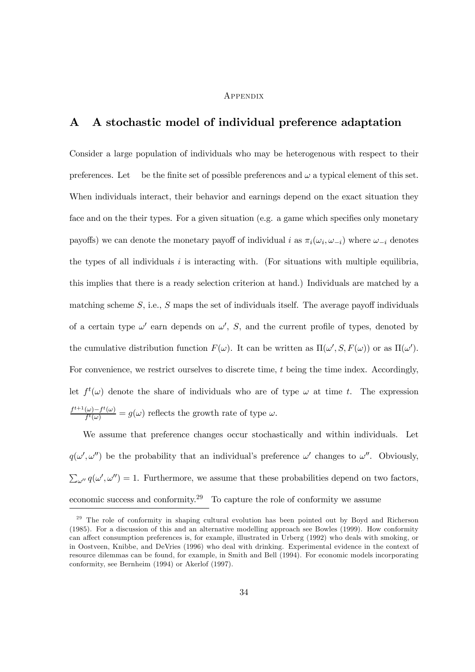#### **APPENDIX**

## A A stochastic model of individual preference adaptation

Consider a large population of individuals who may be heterogenous with respect to their preferences. Let be the finite set of possible preferences and  $\omega$  a typical element of this set. When individuals interact, their behavior and earnings depend on the exact situation they face and on the their types. For a given situation (e.g. a game which specifies only monetary payoffs) we can denote the monetary payoff of individual i as  $\pi_i(\omega_i, \omega_{-i})$  where  $\omega_{-i}$  denotes the types of all individuals  $i$  is interacting with. (For situations with multiple equilibria, this implies that there is a ready selection criterion at hand.) Individuals are matched by a matching scheme  $S$ , i.e.,  $S$  maps the set of individuals itself. The average payoff individuals of a certain type  $\omega'$  earn depends on  $\omega'$ , S, and the current profile of types, denoted by the cumulative distribution function  $F(\omega)$ . It can be written as  $\Pi(\omega', S, F(\omega))$  or as  $\Pi(\omega')$ . For convenience, we restrict ourselves to discrete time, t being the time index. Accordingly, let  $f^t(\omega)$  denote the share of individuals who are of type  $\omega$  at time t. The expression  $f^{t+1}(\omega) - f^t(\omega)$  $\frac{d\omega - f'(\omega)}{f'(\omega)} = g(\omega)$  reflects the growth rate of type  $\omega$ .

We assume that preference changes occur stochastically and within individuals. Let  $q(\omega', \omega'')$  be the probability that an individual's preference  $\omega'$  changes to  $\omega''$ . Obviously,  $\sum_{\omega''} q(\omega', \omega'') = 1$ . Furthermore, we assume that these probabilities depend on two factors, economic success and conformity.<sup>29</sup> To capture the role of conformity we assume

<sup>&</sup>lt;sup>29</sup> The role of conformity in shaping cultural evolution has been pointed out by Boyd and Richerson (1985). For a discussion of this and an alternative modelling approach see Bowles (1999). How conformity can affect consumption preferences is, for example, illustrated in Urberg (1992) who deals with smoking, or in Oostveen, Knibbe, and DeVries (1996) who deal with drinking. Experimental evidence in the context of resource dilemmas can be found, for example, in Smith and Bell (1994). For economic models incorporating conformity, see Bernheim (1994) or Akerlof (1997).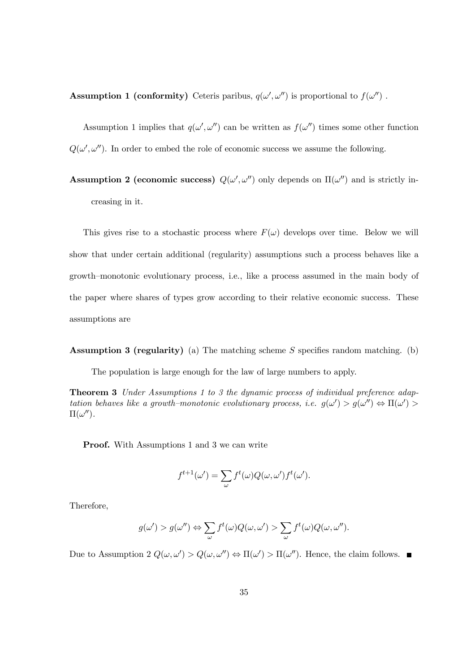**Assumption 1 (conformity)** Ceteris paribus,  $q(\omega', \omega'')$  is proportional to  $f(\omega'')$ .

Assumption 1 implies that  $q(\omega', \omega'')$  can be written as  $f(\omega'')$  times some other function  $Q(\omega', \omega'')$ . In order to embed the role of economic success we assume the following.

Assumption 2 (economic success)  $Q(\omega', \omega'')$  only depends on  $\Pi(\omega'')$  and is strictly increasing in it.

This gives rise to a stochastic process where  $F(\omega)$  develops over time. Below we will show that under certain additional (regularity) assumptions such a process behaves like a growth–monotonic evolutionary process, i.e., like a process assumed in the main body of the paper where shares of types grow according to their relative economic success. These assumptions are

**Assumption 3 (regularity)** (a) The matching scheme S specifies random matching. (b)

The population is large enough for the law of large numbers to apply.

Theorem 3 Under Assumptions 1 to 3 the dynamic process of individual preference adaptation behaves like a growth–monotonic evolutionary process, i.e.  $g(\omega') > g(\omega'') \Leftrightarrow \Pi(\omega') >$  $\Pi(\omega'').$ 

**Proof.** With Assumptions 1 and 3 we can write

$$
f^{t+1}(\omega') = \sum_{\omega} f^t(\omega) Q(\omega, \omega') f^t(\omega').
$$

Therefore,

$$
g(\omega') > g(\omega'') \Leftrightarrow \sum_{\omega} f^t(\omega) Q(\omega, \omega') > \sum_{\omega} f^t(\omega) Q(\omega, \omega'').
$$

Due to Assumption 2  $Q(\omega, \omega') > Q(\omega, \omega'') \Leftrightarrow \Pi(\omega') > \Pi(\omega'')$ . Hence, the claim follows.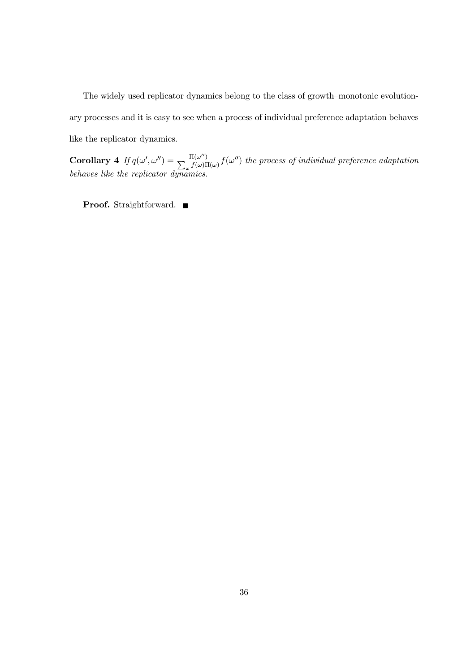The widely used replicator dynamics belong to the class of growth–monotonic evolutionary processes and it is easy to see when a process of individual preference adaptation behaves like the replicator dynamics.

Corollary 4 If  $q(\omega', \omega'') = \frac{\Pi(\omega'')}{\sum f(\omega)\Pi}$  $\frac{\Pi(\omega^{\alpha})}{\omega}f(\omega)\Pi(\omega) f(\omega'')$  the process of individual preference adaptation behaves like the replicator dynamics.

Proof. Straightforward. ■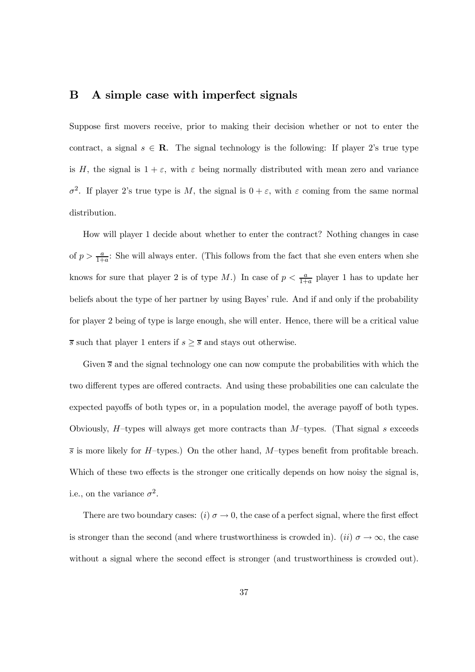## B A simple case with imperfect signals

Suppose first movers receive, prior to making their decision whether or not to enter the contract, a signal  $s \in \mathbb{R}$ . The signal technology is the following: If player 2's true type is H, the signal is  $1 + \varepsilon$ , with  $\varepsilon$  being normally distributed with mean zero and variance  $\sigma^2$ . If player 2's true type is M, the signal is  $0 + \varepsilon$ , with  $\varepsilon$  coming from the same normal distribution.

How will player 1 decide about whether to enter the contract? Nothing changes in case of  $p > \frac{a}{1+a}$ : She will always enter. (This follows from the fact that she even enters when she knows for sure that player 2 is of type M.) In case of  $p < \frac{a}{1+}$  $\frac{a}{1+a}$  player 1 has to update her beliefs about the type of her partner by using Bayes' rule. And if and only if the probability for player 2 being of type is large enough, she will enter. Hence, there will be a critical value  $\overline{s}$  such that player 1 enters if  $s \geq \overline{s}$  and stays out otherwise.

Given  $\bar{s}$  and the signal technology one can now compute the probabilities with which the two different types are offered contracts. And using these probabilities one can calculate the expected payoffs of both types or, in a population model, the average payoff of both types. Obviously,  $H$ –types will always get more contracts than  $M$ –types. (That signal s exceeds  $\overline{s}$  is more likely for H–types.) On the other hand, M–types benefit from profitable breach. Which of these two effects is the stronger one critically depends on how noisy the signal is, i.e., on the variance  $\sigma^2$ .

There are two boundary cases: (i)  $\sigma \to 0$ , the case of a perfect signal, where the first effect is stronger than the second (and where trustworthiness is crowded in). (ii)  $\sigma \to \infty$ , the case without a signal where the second effect is stronger (and trustworthiness is crowded out).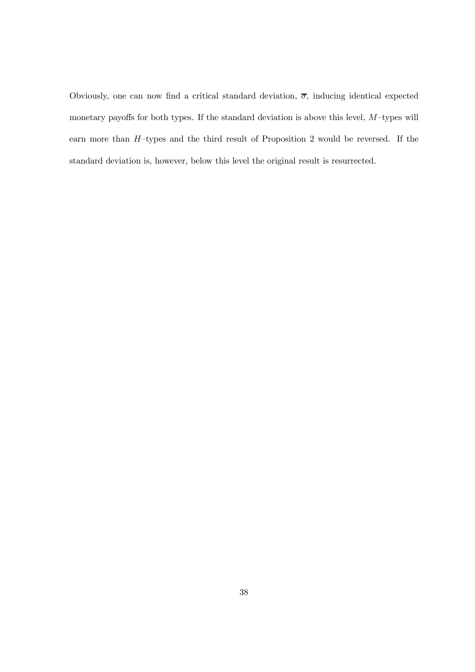Obviously, one can now find a critical standard deviation,  $\overline{\sigma}$ , inducing identical expected monetary payoffs for both types. If the standard deviation is above this level,  $M$ -types will earn more than  $H$ -types and the third result of Proposition 2 would be reversed. If the standard deviation is, however, below this level the original result is resurrected.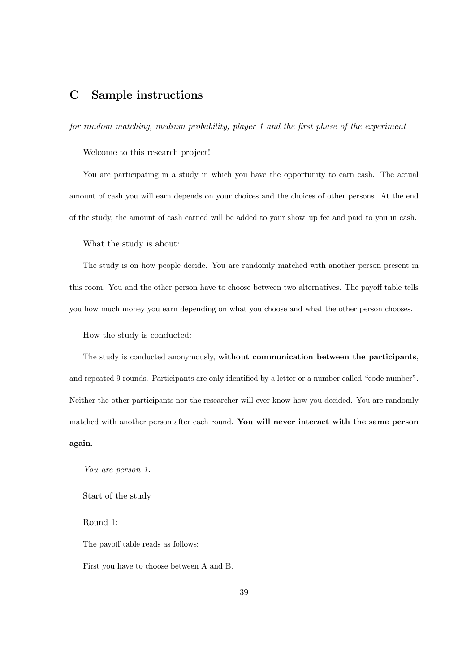## C Sample instructions

 $for\ random\ matching,\ medium\ probability,\ player\ 1\ and\ the\ first\ phase\ of\ the\ experiment$ 

Welcome to this research project!

You are participating in a study in which you have the opportunity to earn cash. The actual amount of cash you will earn depends on your choices and the choices of other persons. At the end of the study, the amount of cash earned will be added to your show–up fee and paid to you in cash.

What the study is about:

The study is on how people decide. You are randomly matched with another person present in this room. You and the other person have to choose between two alternatives. The payoff table tells you how much money you earn depending on what you choose and what the other person chooses.

How the study is conducted:

The study is conducted anonymously, without communication between the participants, and repeated 9 rounds. Participants are only identified by a letter or a number called "code number". Neither the other participants nor the researcher will ever know how you decided. You are randomly matched with another person after each round. You will never interact with the same person again.

You are person 1.

Start of the study

Round 1:

The payoff table reads as follows:

First you have to choose between A and B.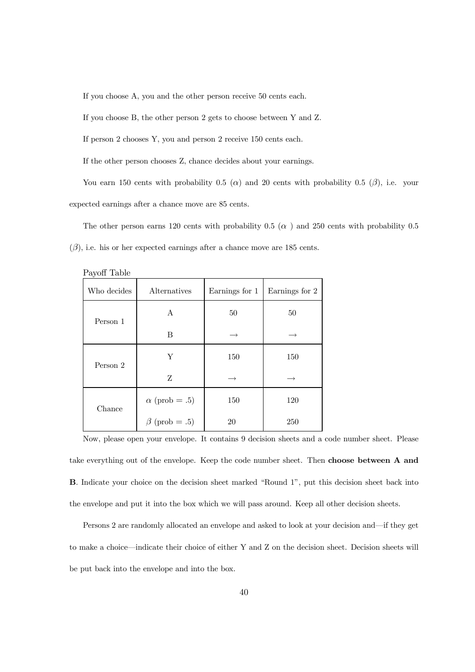If you choose A, you and the other person receive 50 cents each.

If you choose B, the other person 2 gets to choose between Y and Z.

If person 2 chooses Y, you and person 2 receive 150 cents each.

If the other person chooses Z, chance decides about your earnings.

You earn 150 cents with probability 0.5 ( $\alpha$ ) and 20 cents with probability 0.5 ( $\beta$ ), i.e. your expected earnings after a chance move are 85 cents.

The other person earns 120 cents with probability 0.5  $(\alpha)$  and 250 cents with probability 0.5  $(\beta)$ , i.e. his or her expected earnings after a chance move are 185 cents.

| $\mathbf{v}_1 \mathbf{v}_2 \mathbf{v}_3$ |                      |                |                |  |  |
|------------------------------------------|----------------------|----------------|----------------|--|--|
| Who decides                              | Alternatives         | Earnings for 1 | Earnings for 2 |  |  |
| Person 1                                 | A                    | 50             | 50             |  |  |
|                                          | B                    |                |                |  |  |
| Person 2                                 | Y                    | 150            | 150            |  |  |
|                                          | Z                    |                | $\rightarrow$  |  |  |
| Chance                                   | $\alpha$ (prob = .5) | 150            | 120            |  |  |
|                                          | $\beta$ (prob = .5)  | 20             | 250            |  |  |

Payoff Table

Now, please open your envelope. It contains 9 decision sheets and a code number sheet. Please take everything out of the envelope. Keep the code number sheet. Then choose between A and B. Indicate your choice on the decision sheet marked "Round 1", put this decision sheet back into the envelope and put it into the box which we will pass around. Keep all other decision sheets.

Persons 2 are randomly allocated an envelope and asked to look at your decision and—if they get to make a choice—indicate their choice of either Y and Z on the decision sheet. Decision sheets will be put back into the envelope and into the box.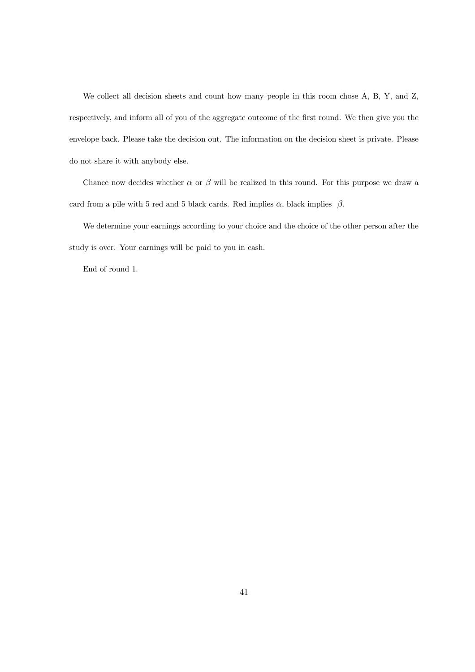We collect all decision sheets and count how many people in this room chose A, B, Y, and Z, respectively, and inform all of you of the aggregate outcome of the first round. We then give you the envelope back. Please take the decision out. The information on the decision sheet is private. Please do not share it with anybody else.

Chance now decides whether  $\alpha$  or  $\beta$  will be realized in this round. For this purpose we draw a card from a pile with 5 red and 5 black cards. Red implies  $\alpha$ , black implies  $\beta$ .

We determine your earnings according to your choice and the choice of the other person after the study is over. Your earnings will be paid to you in cash.

End of round 1.